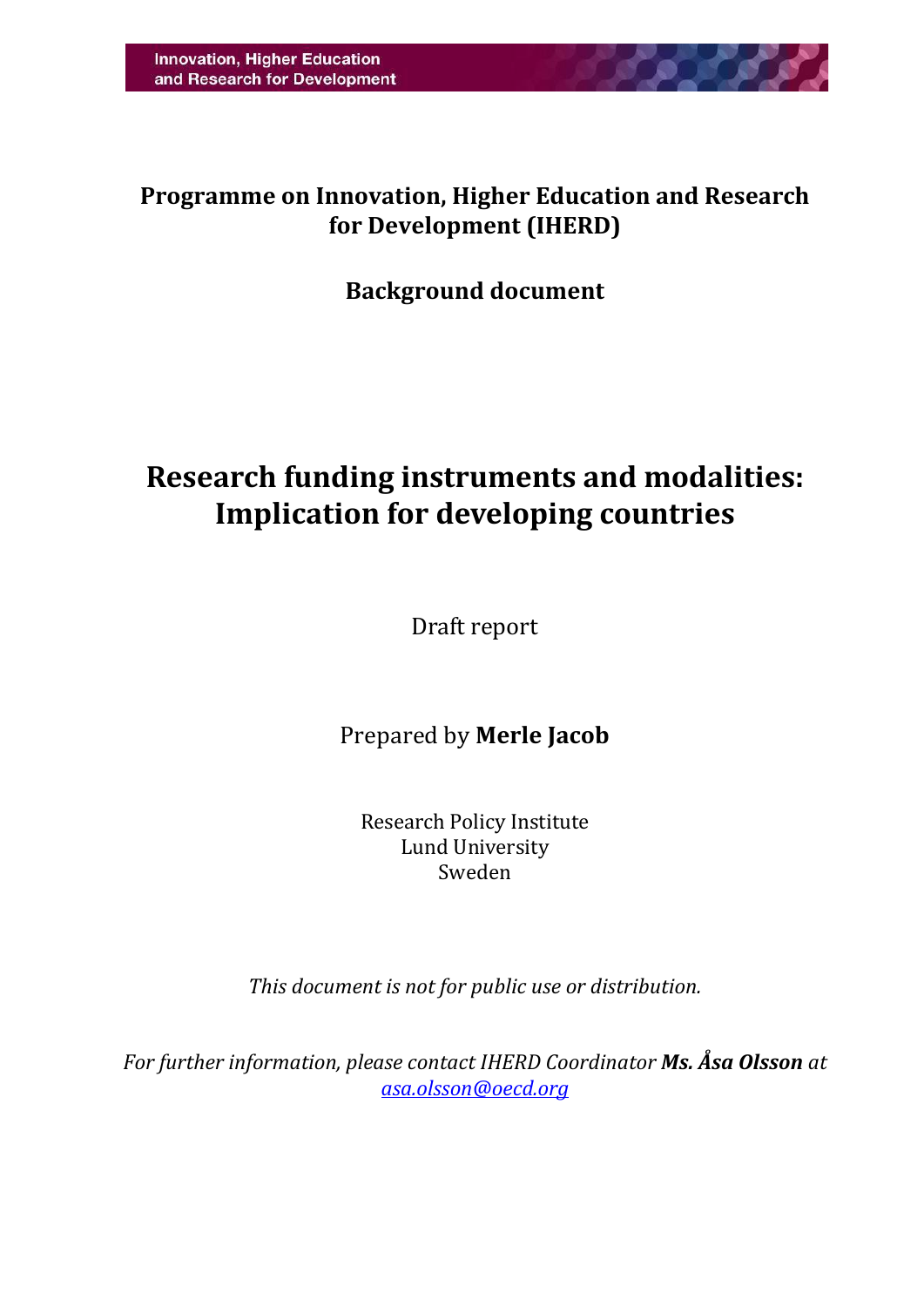

## **Programme on Innovation, Higher Education and Research for Development (IHERD)**

## **Background document**

# **Research funding instruments and modalities: Implication for developing countries**

Draft report

Prepared by **Merle Jacob**

Research Policy Institute Lund University Sweden

*This document is not for public use or distribution.*

*For further information, please contact IHERD Coordinator Ms. Åsa Olsson at [asa.olsson@oecd.org](mailto:asa.olsson@oecd.org)*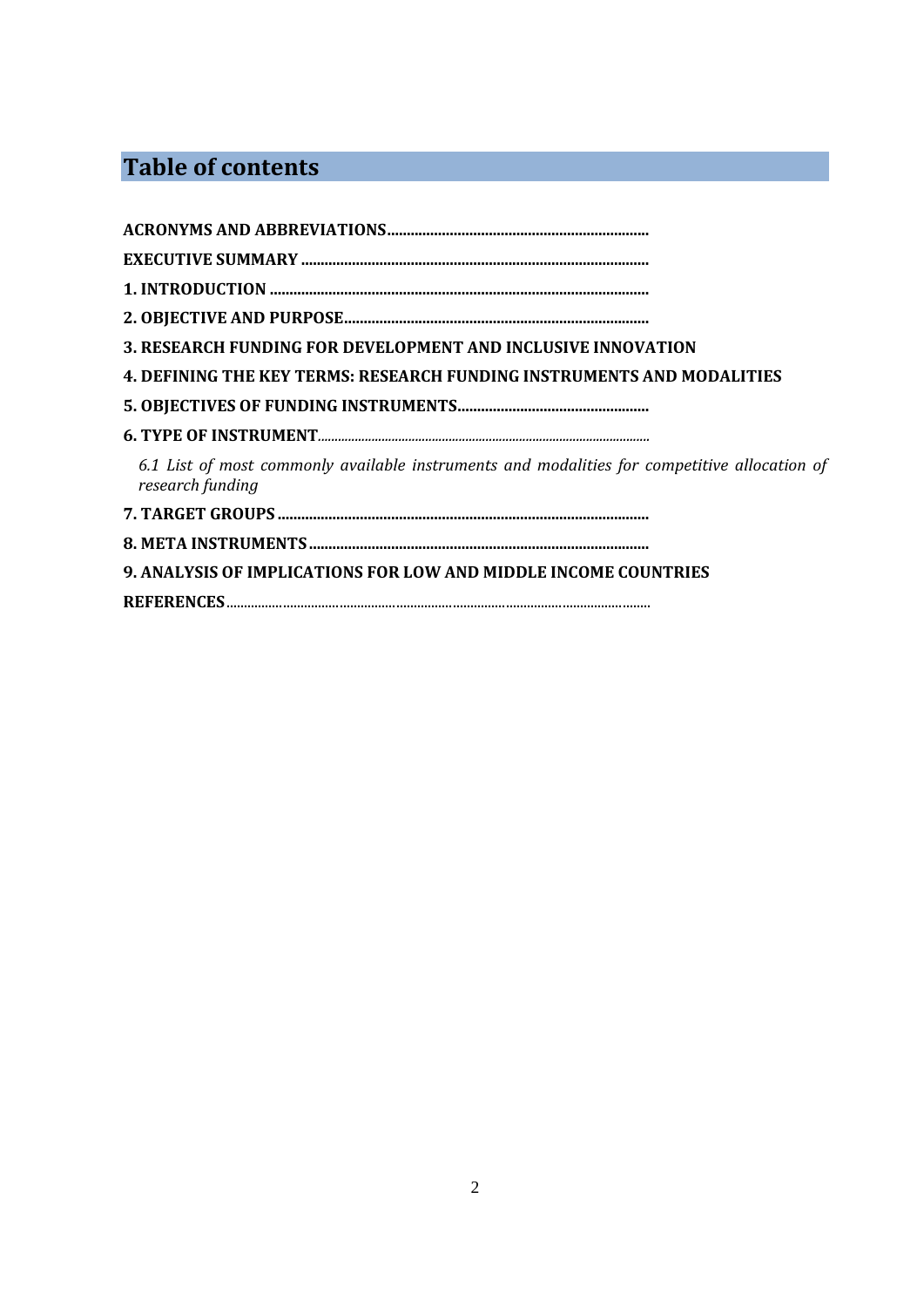## **Table of contents**

| 3. RESEARCH FUNDING FOR DEVELOPMENT AND INCLUSIVE INNOVATION                                                     |
|------------------------------------------------------------------------------------------------------------------|
| 4. DEFINING THE KEY TERMS: RESEARCH FUNDING INSTRUMENTS AND MODALITIES                                           |
|                                                                                                                  |
|                                                                                                                  |
| 6.1 List of most commonly available instruments and modalities for competitive allocation of<br>research funding |
|                                                                                                                  |
|                                                                                                                  |
| 9. ANALYSIS OF IMPLICATIONS FOR LOW AND MIDDLE INCOME COUNTRIES                                                  |
|                                                                                                                  |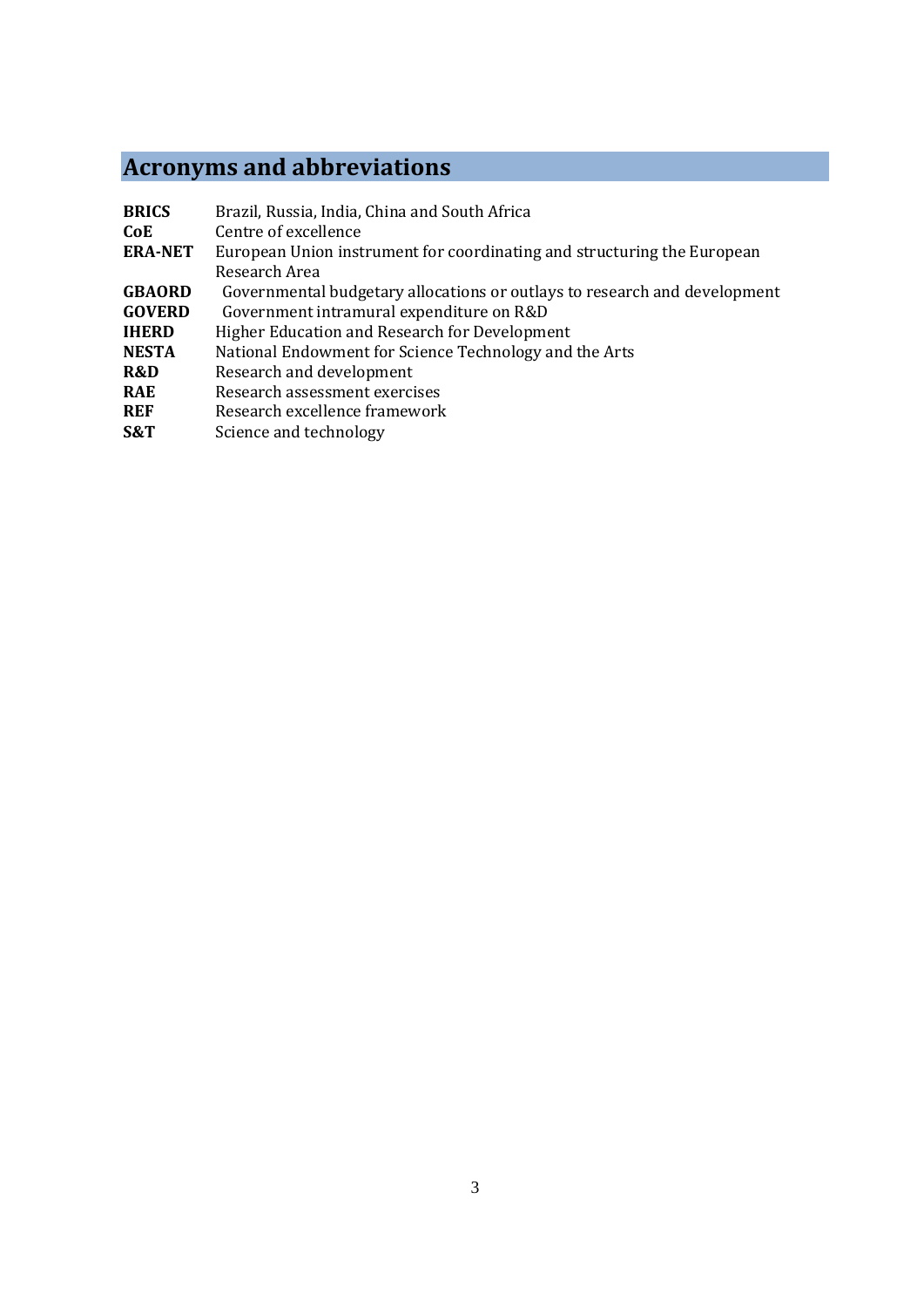# **Acronyms and abbreviations**

| <b>BRICS</b>   | Brazil, Russia, India, China and South Africa                             |
|----------------|---------------------------------------------------------------------------|
| CoE.           | Centre of excellence                                                      |
| <b>ERA-NET</b> | European Union instrument for coordinating and structuring the European   |
|                | Research Area                                                             |
| <b>GBAORD</b>  | Governmental budgetary allocations or outlays to research and development |
| <b>GOVERD</b>  | Government intramural expenditure on R&D                                  |
| <b>IHERD</b>   | Higher Education and Research for Development                             |
| <b>NESTA</b>   | National Endowment for Science Technology and the Arts                    |
| R&D            | Research and development                                                  |
| <b>RAE</b>     | Research assessment exercises                                             |
| <b>REF</b>     | Research excellence framework                                             |

**S&T** Science and technology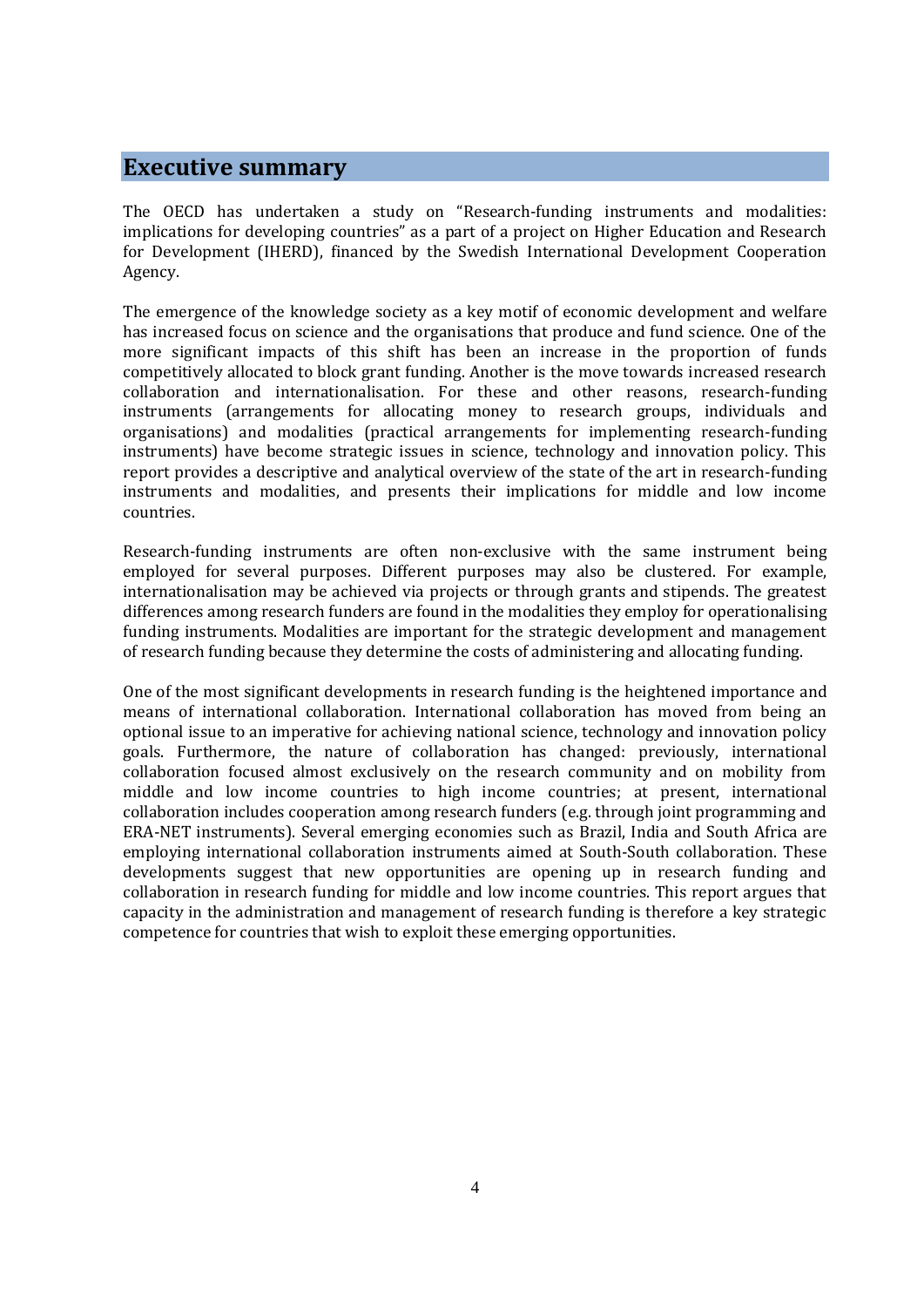#### **Executive summary**

The OECD has undertaken a study on "Research-funding instruments and modalities: implications for developing countries" as a part of a project on Higher Education and Research for Development (IHERD), financed by the Swedish International Development Cooperation Agency.

The emergence of the knowledge society as a key motif of economic development and welfare has increased focus on science and the organisations that produce and fund science. One of the more significant impacts of this shift has been an increase in the proportion of funds competitively allocated to block grant funding. Another is the move towards increased research collaboration and internationalisation. For these and other reasons, research-funding instruments (arrangements for allocating money to research groups, individuals and organisations) and modalities (practical arrangements for implementing research-funding instruments) have become strategic issues in science, technology and innovation policy. This report provides a descriptive and analytical overview of the state of the art in research-funding instruments and modalities, and presents their implications for middle and low income countries.

Research-funding instruments are often non-exclusive with the same instrument being employed for several purposes. Different purposes may also be clustered. For example, internationalisation may be achieved via projects or through grants and stipends. The greatest differences among research funders are found in the modalities they employ for operationalising funding instruments. Modalities are important for the strategic development and management of research funding because they determine the costs of administering and allocating funding.

One of the most significant developments in research funding is the heightened importance and means of international collaboration. International collaboration has moved from being an optional issue to an imperative for achieving national science, technology and innovation policy goals. Furthermore, the nature of collaboration has changed: previously, international collaboration focused almost exclusively on the research community and on mobility from middle and low income countries to high income countries; at present, international collaboration includes cooperation among research funders (e.g. through joint programming and ERA-NET instruments). Several emerging economies such as Brazil, India and South Africa are employing international collaboration instruments aimed at South-South collaboration. These developments suggest that new opportunities are opening up in research funding and collaboration in research funding for middle and low income countries. This report argues that capacity in the administration and management of research funding is therefore a key strategic competence for countries that wish to exploit these emerging opportunities.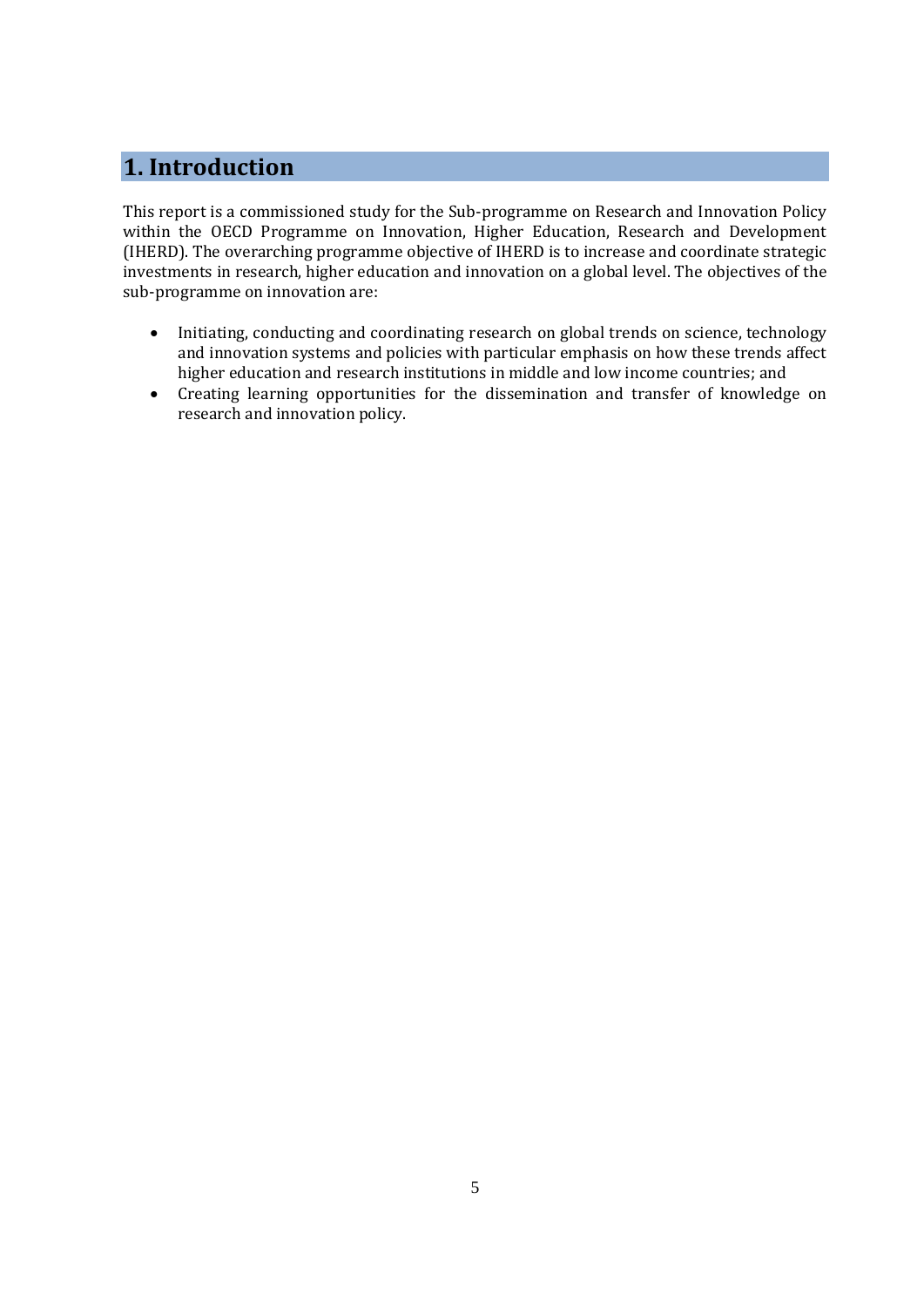## **1. Introduction**

This report is a commissioned study for the Sub-programme on Research and Innovation Policy within the OECD Programme on Innovation, Higher Education, Research and Development (IHERD). The overarching programme objective of IHERD is to increase and coordinate strategic investments in research, higher education and innovation on a global level. The objectives of the sub-programme on innovation are:

- Initiating, conducting and coordinating research on global trends on science, technology and innovation systems and policies with particular emphasis on how these trends affect higher education and research institutions in middle and low income countries; and
- Creating learning opportunities for the dissemination and transfer of knowledge on research and innovation policy.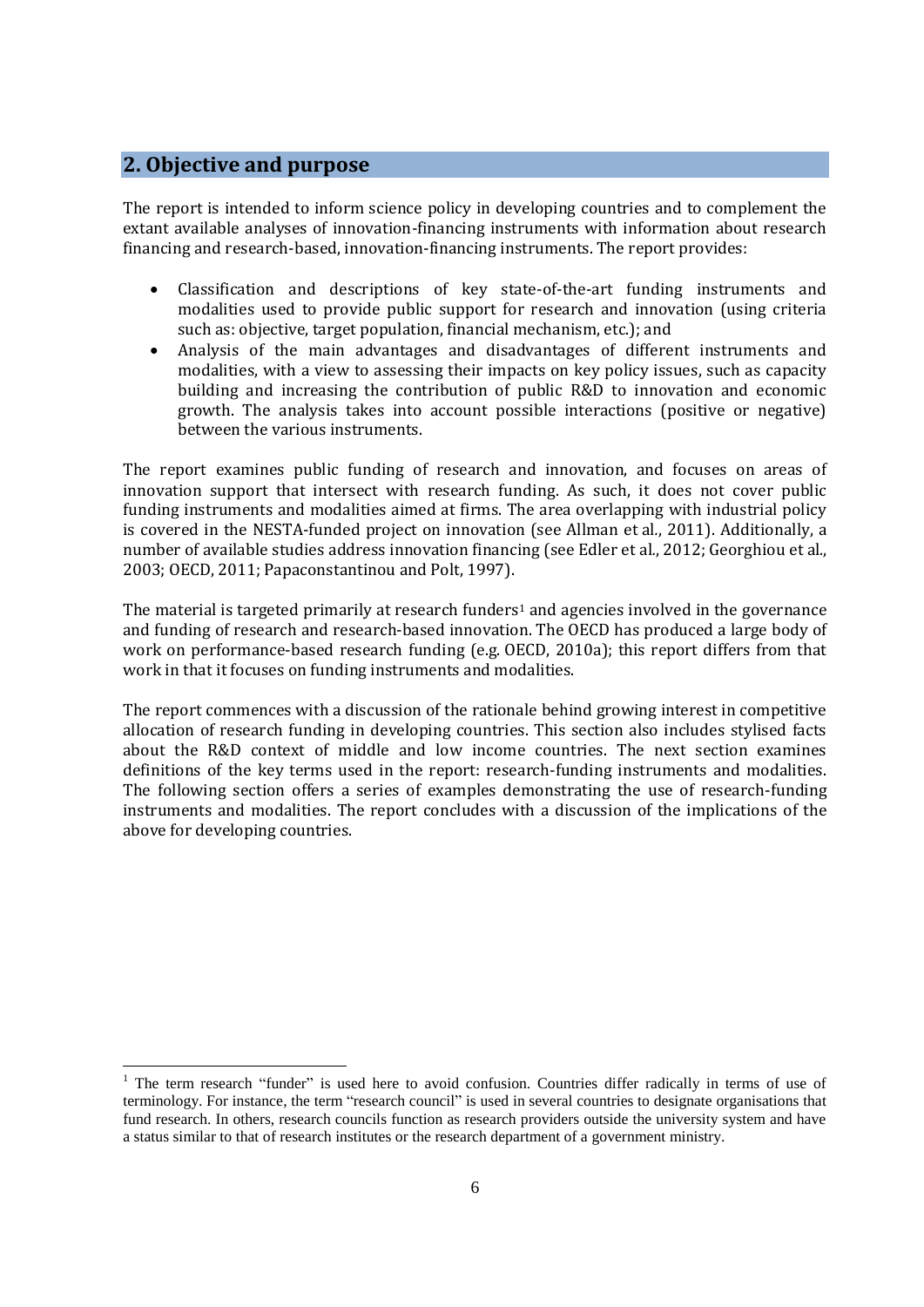#### **2. Objective and purpose**

l

The report is intended to inform science policy in developing countries and to complement the extant available analyses of innovation-financing instruments with information about research financing and research-based, innovation-financing instruments. The report provides:

- Classification and descriptions of key state-of-the-art funding instruments and modalities used to provide public support for research and innovation (using criteria such as: objective, target population, financial mechanism, etc.); and
- Analysis of the main advantages and disadvantages of different instruments and modalities, with a view to assessing their impacts on key policy issues, such as capacity building and increasing the contribution of public R&D to innovation and economic growth. The analysis takes into account possible interactions (positive or negative) between the various instruments.

The report examines public funding of research and innovation, and focuses on areas of innovation support that intersect with research funding. As such, it does not cover public funding instruments and modalities aimed at firms. The area overlapping with industrial policy is covered in the NESTA-funded project on innovation (see Allman et al*.*, 2011). Additionally, a number of available studies address innovation financing (see Edler et al*.*, 2012; Georghiou et al*.*, 2003; OECD, 2011; Papaconstantinou and Polt, 1997).

The material is targeted primarily at research funders<sup>1</sup> and agencies involved in the governance and funding of research and research-based innovation. The OECD has produced a large body of work on performance-based research funding (e.g. OECD, 2010a); this report differs from that work in that it focuses on funding instruments and modalities.

The report commences with a discussion of the rationale behind growing interest in competitive allocation of research funding in developing countries. This section also includes stylised facts about the R&D context of middle and low income countries. The next section examines definitions of the key terms used in the report: research-funding instruments and modalities. The following section offers a series of examples demonstrating the use of research-funding instruments and modalities. The report concludes with a discussion of the implications of the above for developing countries.

<sup>&</sup>lt;sup>1</sup> The term research "funder" is used here to avoid confusion. Countries differ radically in terms of use of terminology. For instance, the term "research council" is used in several countries to designate organisations that fund research. In others, research councils function as research providers outside the university system and have a status similar to that of research institutes or the research department of a government ministry.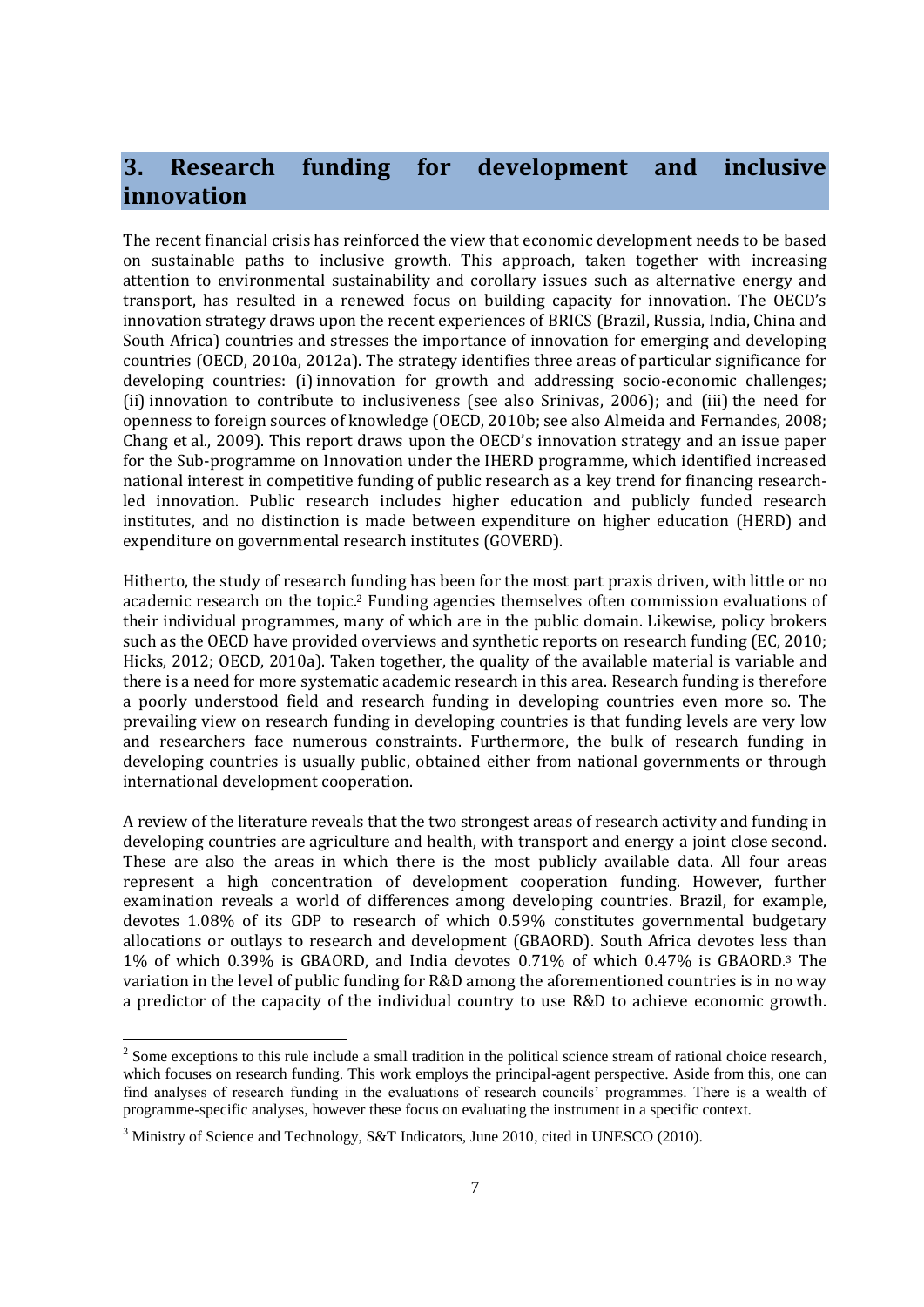## **3. Research funding for development and inclusive innovation**

The recent financial crisis has reinforced the view that economic development needs to be based on sustainable paths to inclusive growth. This approach, taken together with increasing attention to environmental sustainability and corollary issues such as alternative energy and transport, has resulted in a renewed focus on building capacity for innovation. The OECD's innovation strategy draws upon the recent experiences of BRICS (Brazil, Russia, India, China and South Africa) countries and stresses the importance of innovation for emerging and developing countries (OECD, 2010a, 2012a). The strategy identifies three areas of particular significance for developing countries: (i) innovation for growth and addressing socio-economic challenges; (ii) innovation to contribute to inclusiveness (see also Srinivas, 2006); and (iii) the need for openness to foreign sources of knowledge (OECD, 2010b; see also Almeida and Fernandes, 2008; Chang et al*.*, 2009). This report draws upon the OECD's innovation strategy and an issue paper for the Sub-programme on Innovation under the IHERD programme, which identified increased national interest in competitive funding of public research as a key trend for financing researchled innovation. Public research includes higher education and publicly funded research institutes, and no distinction is made between expenditure on higher education (HERD) and expenditure on governmental research institutes (GOVERD).

Hitherto, the study of research funding has been for the most part praxis driven, with little or no academic research on the topic. <sup>2</sup> Funding agencies themselves often commission evaluations of their individual programmes, many of which are in the public domain. Likewise, policy brokers such as the OECD have provided overviews and synthetic reports on research funding (EC, 2010; Hicks, 2012; OECD, 2010a). Taken together, the quality of the available material is variable and there is a need for more systematic academic research in this area. Research funding is therefore a poorly understood field and research funding in developing countries even more so. The prevailing view on research funding in developing countries is that funding levels are very low and researchers face numerous constraints. Furthermore, the bulk of research funding in developing countries is usually public, obtained either from national governments or through international development cooperation.

A review of the literature reveals that the two strongest areas of research activity and funding in developing countries are agriculture and health, with transport and energy a joint close second. These are also the areas in which there is the most publicly available data. All four areas represent a high concentration of development cooperation funding. However, further examination reveals a world of differences among developing countries. Brazil, for example, devotes 1.08% of its GDP to research of which 0.59% constitutes governmental budgetary allocations or outlays to research and development (GBAORD). South Africa devotes less than 1% of which 0.39% is GBAORD, and India devotes 0.71% of which 0.47% is GBAORD.<sup>3</sup> The variation in the level of public funding for R&D among the aforementioned countries is in no way a predictor of the capacity of the individual country to use R&D to achieve economic growth.

 $2^{2}$  Some exceptions to this rule include a small tradition in the political science stream of rational choice research, which focuses on research funding. This work employs the principal-agent perspective. Aside from this, one can find analyses of research funding in the evaluations of research councils' programmes. There is a wealth of programme-specific analyses, however these focus on evaluating the instrument in a specific context.

 $3$  Ministry of Science and Technology, S&T Indicators, June 2010, cited in UNESCO (2010).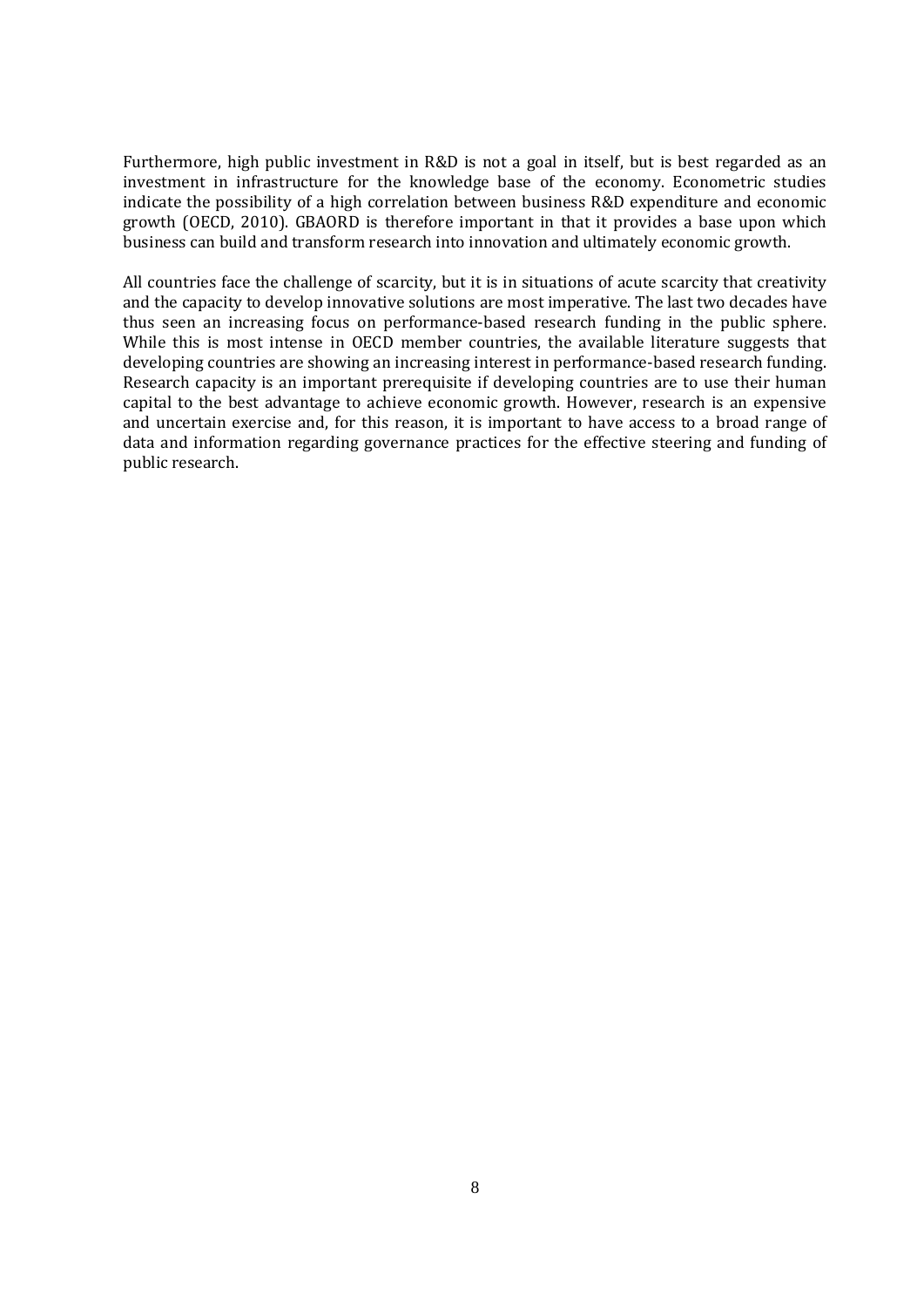Furthermore, high public investment in R&D is not a goal in itself, but is best regarded as an investment in infrastructure for the knowledge base of the economy. Econometric studies indicate the possibility of a high correlation between business R&D expenditure and economic growth (OECD, 2010). GBAORD is therefore important in that it provides a base upon which business can build and transform research into innovation and ultimately economic growth.

All countries face the challenge of scarcity, but it is in situations of acute scarcity that creativity and the capacity to develop innovative solutions are most imperative. The last two decades have thus seen an increasing focus on performance-based research funding in the public sphere. While this is most intense in OECD member countries, the available literature suggests that developing countries are showing an increasing interest in performance-based research funding. Research capacity is an important prerequisite if developing countries are to use their human capital to the best advantage to achieve economic growth. However, research is an expensive and uncertain exercise and, for this reason, it is important to have access to a broad range of data and information regarding governance practices for the effective steering and funding of public research.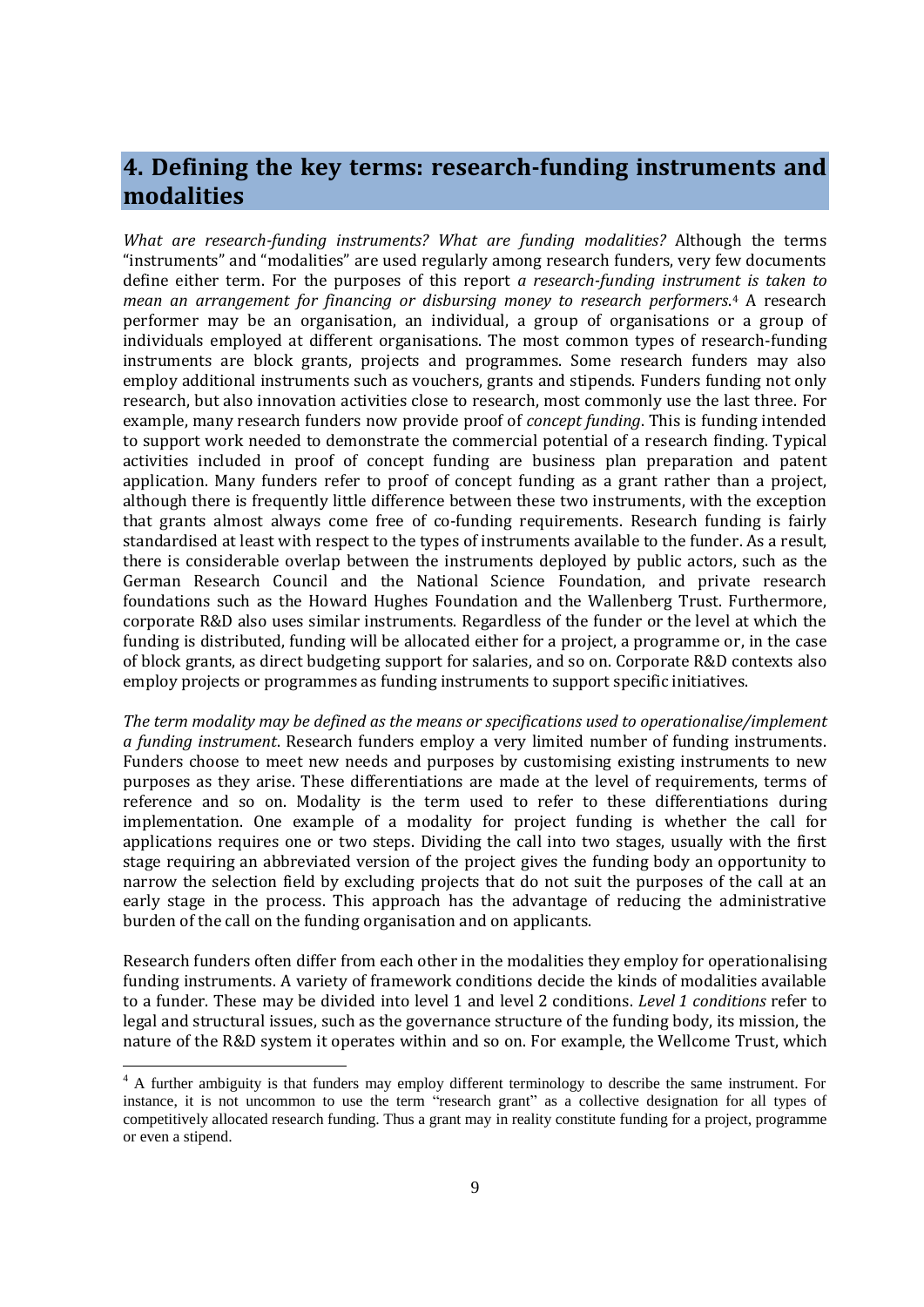## **4. Defining the key terms: research-funding instruments and modalities**

*What are research-funding instruments? What are funding modalities?* Although the terms "instruments" and "modalities" are used regularly among research funders, very few documents define either term. For the purposes of this report *a research-funding instrument is taken to mean an arrangement for financing or disbursing money to research performers*. <sup>4</sup> A research performer may be an organisation, an individual, a group of organisations or a group of individuals employed at different organisations. The most common types of research-funding instruments are block grants, projects and programmes. Some research funders may also employ additional instruments such as vouchers, grants and stipends. Funders funding not only research, but also innovation activities close to research, most commonly use the last three. For example, many research funders now provide proof of *concept funding*. This is funding intended to support work needed to demonstrate the commercial potential of a research finding. Typical activities included in proof of concept funding are business plan preparation and patent application. Many funders refer to proof of concept funding as a grant rather than a project, although there is frequently little difference between these two instruments, with the exception that grants almost always come free of co-funding requirements. Research funding is fairly standardised at least with respect to the types of instruments available to the funder. As a result, there is considerable overlap between the instruments deployed by public actors, such as the German Research Council and the National Science Foundation, and private research foundations such as the Howard Hughes Foundation and the Wallenberg Trust. Furthermore, corporate R&D also uses similar instruments. Regardless of the funder or the level at which the funding is distributed, funding will be allocated either for a project, a programme or, in the case of block grants, as direct budgeting support for salaries, and so on. Corporate R&D contexts also employ projects or programmes as funding instruments to support specific initiatives.

*The term modality may be defined as the means or specifications used to operationalise/implement a funding instrument*. Research funders employ a very limited number of funding instruments. Funders choose to meet new needs and purposes by customising existing instruments to new purposes as they arise. These differentiations are made at the level of requirements, terms of reference and so on. Modality is the term used to refer to these differentiations during implementation. One example of a modality for project funding is whether the call for applications requires one or two steps. Dividing the call into two stages, usually with the first stage requiring an abbreviated version of the project gives the funding body an opportunity to narrow the selection field by excluding projects that do not suit the purposes of the call at an early stage in the process. This approach has the advantage of reducing the administrative burden of the call on the funding organisation and on applicants.

Research funders often differ from each other in the modalities they employ for operationalising funding instruments. A variety of framework conditions decide the kinds of modalities available to a funder. These may be divided into level 1 and level 2 conditions. *Level 1 conditions* refer to legal and structural issues, such as the governance structure of the funding body, its mission, the nature of the R&D system it operates within and so on. For example, the Wellcome Trust, which

 $4$  A further ambiguity is that funders may employ different terminology to describe the same instrument. For instance, it is not uncommon to use the term "research grant" as a collective designation for all types of competitively allocated research funding. Thus a grant may in reality constitute funding for a project, programme or even a stipend.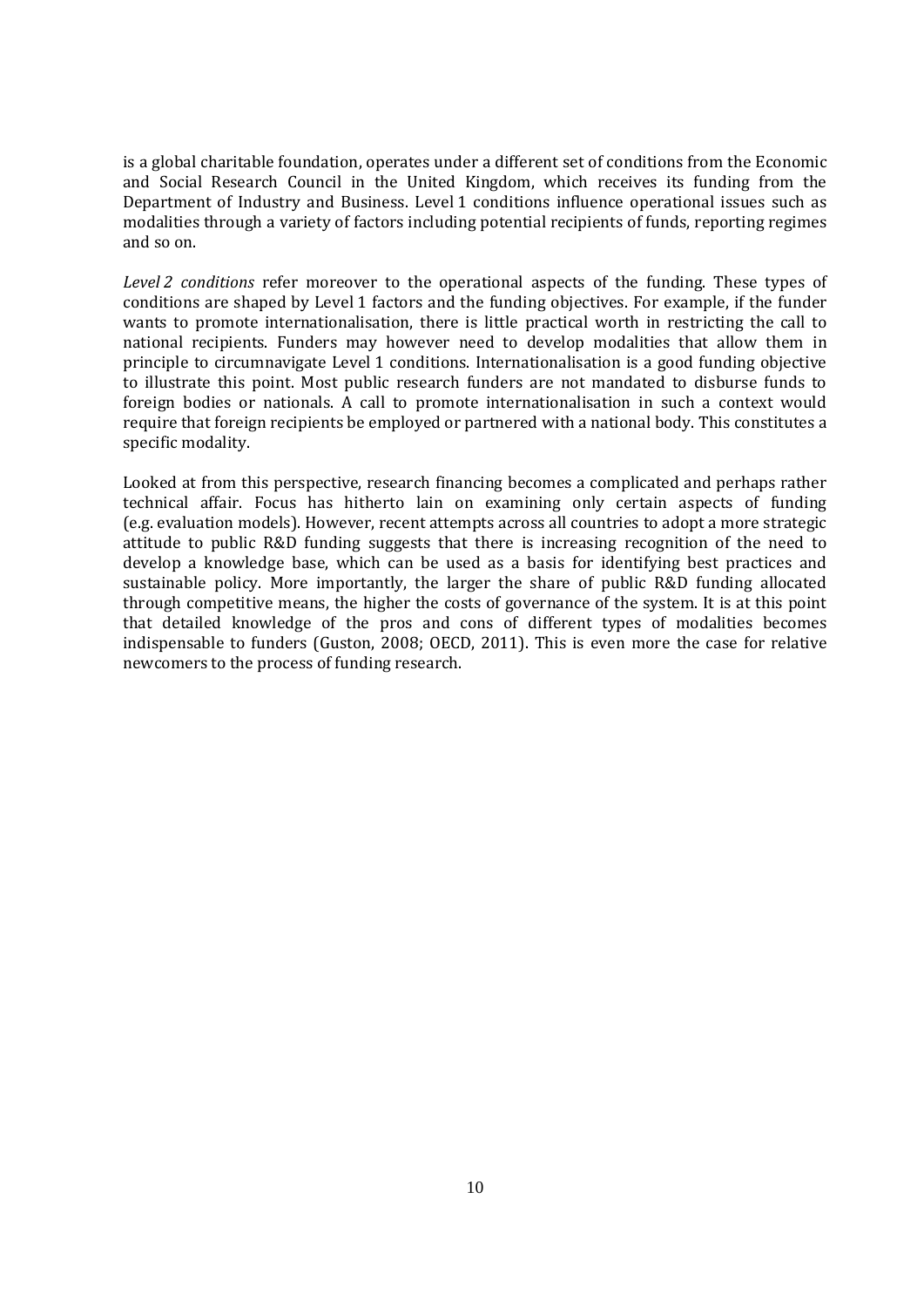is a global charitable foundation, operates under a different set of conditions from the Economic and Social Research Council in the United Kingdom, which receives its funding from the Department of Industry and Business. Level 1 conditions influence operational issues such as modalities through a variety of factors including potential recipients of funds, reporting regimes and so on.

*Level 2 conditions* refer moreover to the operational aspects of the funding. These types of conditions are shaped by Level 1 factors and the funding objectives. For example, if the funder wants to promote internationalisation, there is little practical worth in restricting the call to national recipients. Funders may however need to develop modalities that allow them in principle to circumnavigate Level 1 conditions. Internationalisation is a good funding objective to illustrate this point. Most public research funders are not mandated to disburse funds to foreign bodies or nationals. A call to promote internationalisation in such a context would require that foreign recipients be employed or partnered with a national body. This constitutes a specific modality.

Looked at from this perspective, research financing becomes a complicated and perhaps rather technical affair. Focus has hitherto lain on examining only certain aspects of funding (e.g. evaluation models). However, recent attempts across all countries to adopt a more strategic attitude to public R&D funding suggests that there is increasing recognition of the need to develop a knowledge base, which can be used as a basis for identifying best practices and sustainable policy. More importantly, the larger the share of public R&D funding allocated through competitive means, the higher the costs of governance of the system. It is at this point that detailed knowledge of the pros and cons of different types of modalities becomes indispensable to funders (Guston, 2008; OECD, 2011). This is even more the case for relative newcomers to the process of funding research.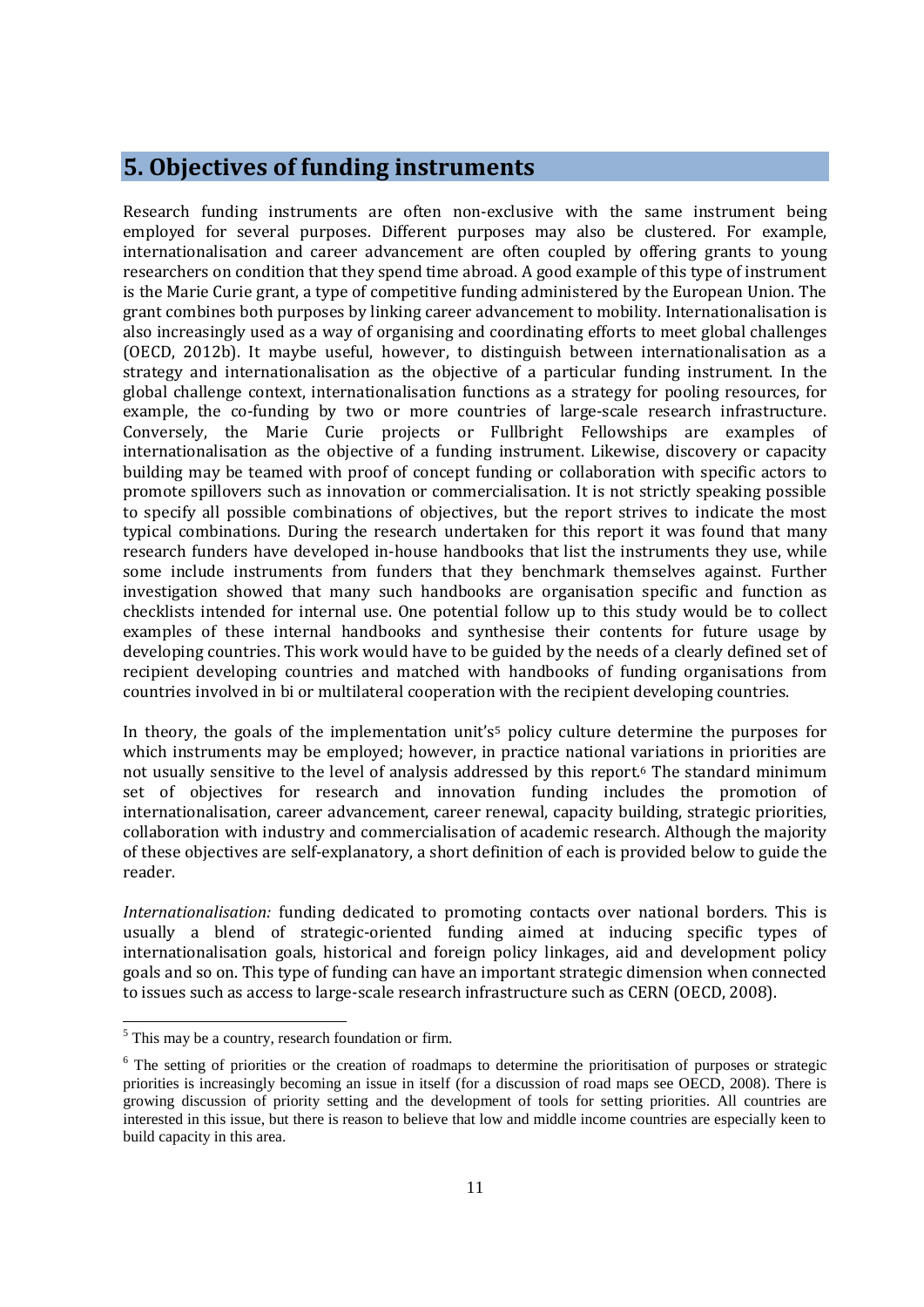#### **5. Objectives of funding instruments**

Research funding instruments are often non-exclusive with the same instrument being employed for several purposes. Different purposes may also be clustered. For example, internationalisation and career advancement are often coupled by offering grants to young researchers on condition that they spend time abroad. A good example of this type of instrument is the Marie Curie grant, a type of competitive funding administered by the European Union. The grant combines both purposes by linking career advancement to mobility. Internationalisation is also increasingly used as a way of organising and coordinating efforts to meet global challenges (OECD, 2012b). It maybe useful, however, to distinguish between internationalisation as a strategy and internationalisation as the objective of a particular funding instrument. In the global challenge context, internationalisation functions as a strategy for pooling resources, for example, the co-funding by two or more countries of large-scale research infrastructure. Conversely, the Marie Curie projects or Fullbright Fellowships are examples of internationalisation as the objective of a funding instrument. Likewise, discovery or capacity building may be teamed with proof of concept funding or collaboration with specific actors to promote spillovers such as innovation or commercialisation. It is not strictly speaking possible to specify all possible combinations of objectives, but the report strives to indicate the most typical combinations. During the research undertaken for this report it was found that many research funders have developed in-house handbooks that list the instruments they use, while some include instruments from funders that they benchmark themselves against. Further investigation showed that many such handbooks are organisation specific and function as checklists intended for internal use. One potential follow up to this study would be to collect examples of these internal handbooks and synthesise their contents for future usage by developing countries. This work would have to be guided by the needs of a clearly defined set of recipient developing countries and matched with handbooks of funding organisations from countries involved in bi or multilateral cooperation with the recipient developing countries.

In theory, the goals of the implementation unit's<sup>5</sup> policy culture determine the purposes for which instruments may be employed; however, in practice national variations in priorities are not usually sensitive to the level of analysis addressed by this report. <sup>6</sup> The standard minimum set of objectives for research and innovation funding includes the promotion of internationalisation, career advancement, career renewal, capacity building, strategic priorities, collaboration with industry and commercialisation of academic research. Although the majority of these objectives are self-explanatory, a short definition of each is provided below to guide the reader.

*Internationalisation:* funding dedicated to promoting contacts over national borders. This is usually a blend of strategic-oriented funding aimed at inducing specific types of internationalisation goals, historical and foreign policy linkages, aid and development policy goals and so on. This type of funding can have an important strategic dimension when connected to issues such as access to large-scale research infrastructure such as CERN (OECD, 2008).

<sup>&</sup>lt;sup>5</sup> This may be a country, research foundation or firm.

 $6$  The setting of priorities or the creation of roadmaps to determine the prioritisation of purposes or strategic priorities is increasingly becoming an issue in itself (for a discussion of road maps see OECD, 2008). There is growing discussion of priority setting and the development of tools for setting priorities. All countries are interested in this issue, but there is reason to believe that low and middle income countries are especially keen to build capacity in this area.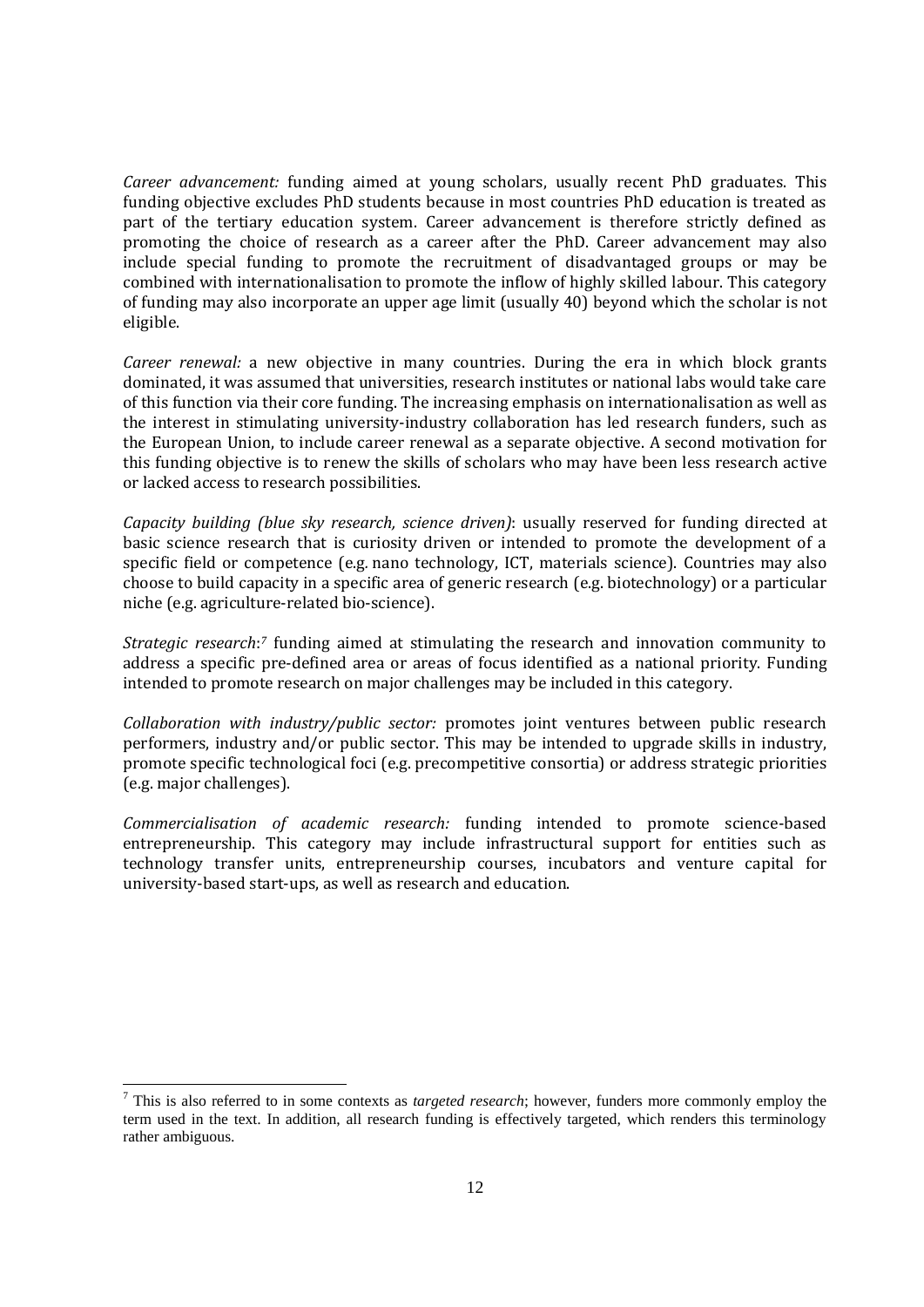*Career advancement:* funding aimed at young scholars, usually recent PhD graduates. This funding objective excludes PhD students because in most countries PhD education is treated as part of the tertiary education system. Career advancement is therefore strictly defined as promoting the choice of research as a career after the PhD. Career advancement may also include special funding to promote the recruitment of disadvantaged groups or may be combined with internationalisation to promote the inflow of highly skilled labour. This category of funding may also incorporate an upper age limit (usually 40) beyond which the scholar is not eligible.

*Career renewal:* a new objective in many countries. During the era in which block grants dominated, it was assumed that universities, research institutes or national labs would take care of this function via their core funding. The increasing emphasis on internationalisation as well as the interest in stimulating university-industry collaboration has led research funders, such as the European Union, to include career renewal as a separate objective. A second motivation for this funding objective is to renew the skills of scholars who may have been less research active or lacked access to research possibilities.

*Capacity building (blue sky research, science driven)*: usually reserved for funding directed at basic science research that is curiosity driven or intended to promote the development of a specific field or competence (e.g*.* nano technology, ICT, materials science). Countries may also choose to build capacity in a specific area of generic research (e.g. biotechnology) or a particular niche (e.g. agriculture-related bio-science).

*Strategic research*: *<sup>7</sup>* funding aimed at stimulating the research and innovation community to address a specific pre-defined area or areas of focus identified as a national priority. Funding intended to promote research on major challenges may be included in this category.

*Collaboration with industry/public sector:* promotes joint ventures between public research performers, industry and/or public sector. This may be intended to upgrade skills in industry, promote specific technological foci (e.g. precompetitive consortia) or address strategic priorities (e.g. major challenges).

*Commercialisation of academic research:* funding intended to promote science-based entrepreneurship. This category may include infrastructural support for entities such as technology transfer units, entrepreneurship courses, incubators and venture capital for university-based start-ups, as well as research and education.

<sup>7</sup> This is also referred to in some contexts as *targeted research*; however, funders more commonly employ the term used in the text. In addition, all research funding is effectively targeted, which renders this terminology rather ambiguous.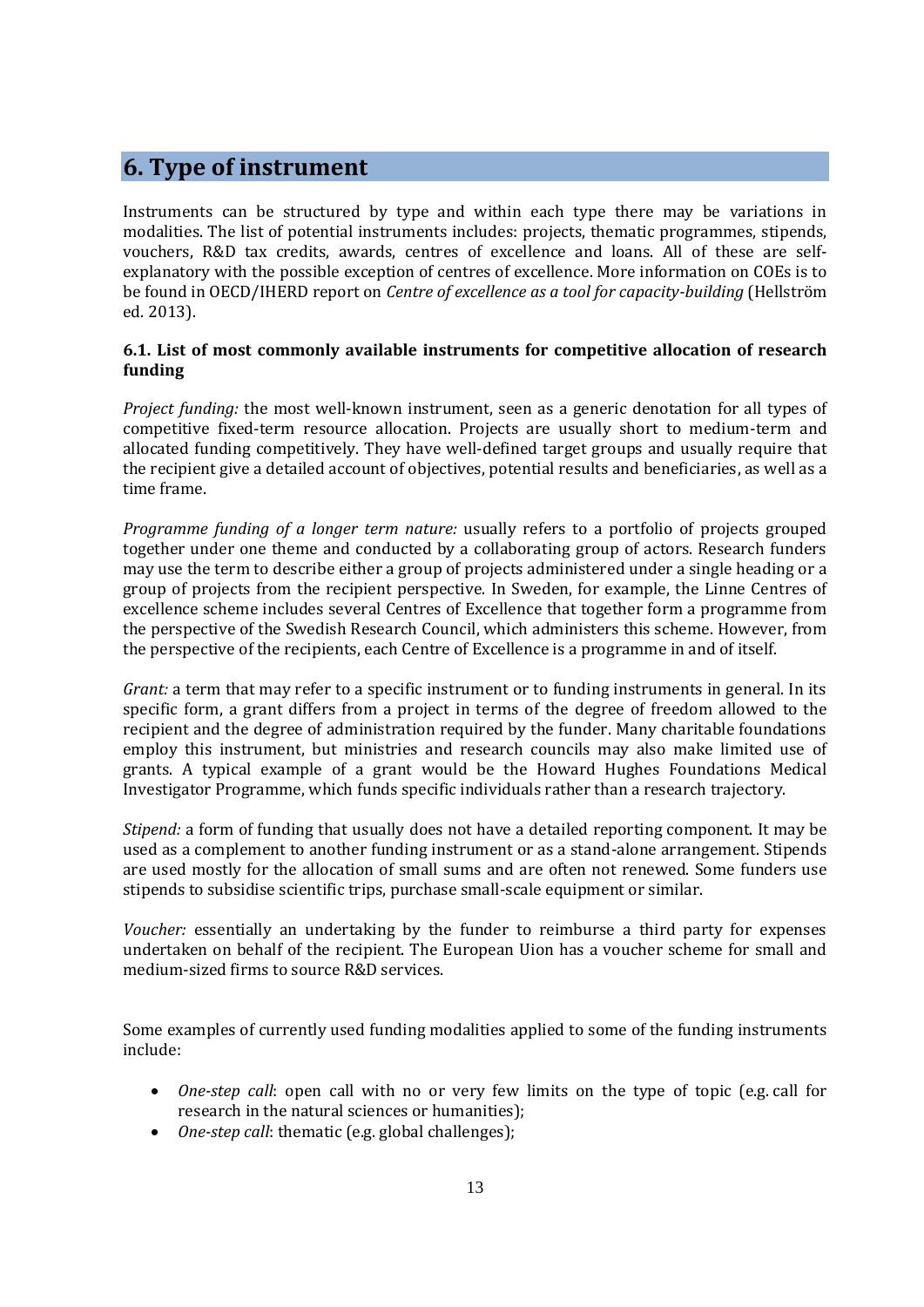## **6. Type of instrument**

Instruments can be structured by type and within each type there may be variations in modalities. The list of potential instruments includes: projects, thematic programmes, stipends, vouchers, R&D tax credits, awards, centres of excellence and loans. All of these are selfexplanatory with the possible exception of centres of excellence. More information on COEs is to be found in OECD/IHERD report on *Centre of excellence as a tool for capacity-building* (Hellström ed. 2013).

#### **6.1. List of most commonly available instruments for competitive allocation of research funding**

*Project funding:* the most well-known instrument, seen as a generic denotation for all types of competitive fixed-term resource allocation. Projects are usually short to medium-term and allocated funding competitively. They have well-defined target groups and usually require that the recipient give a detailed account of objectives, potential results and beneficiaries, as well as a time frame.

*Programme funding of a longer term nature:* usually refers to a portfolio of projects grouped together under one theme and conducted by a collaborating group of actors. Research funders may use the term to describe either a group of projects administered under a single heading or a group of projects from the recipient perspective. In Sweden, for example, the Linne Centres of excellence scheme includes several Centres of Excellence that together form a programme from the perspective of the Swedish Research Council, which administers this scheme. However, from the perspective of the recipients, each Centre of Excellence is a programme in and of itself.

*Grant:* a term that may refer to a specific instrument or to funding instruments in general. In its specific form, a grant differs from a project in terms of the degree of freedom allowed to the recipient and the degree of administration required by the funder. Many charitable foundations employ this instrument, but ministries and research councils may also make limited use of grants. A typical example of a grant would be the Howard Hughes Foundations Medical Investigator Programme, which funds specific individuals rather than a research trajectory.

*Stipend:* a form of funding that usually does not have a detailed reporting component. It may be used as a complement to another funding instrument or as a stand-alone arrangement. Stipends are used mostly for the allocation of small sums and are often not renewed. Some funders use stipends to subsidise scientific trips, purchase small-scale equipment or similar.

*Voucher:* essentially an undertaking by the funder to reimburse a third party for expenses undertaken on behalf of the recipient. The European Uion has a voucher scheme for small and medium-sized firms to source R&D services.

Some examples of currently used funding modalities applied to some of the funding instruments include:

- *One-step call:* open call with no or very few limits on the type of topic (e.g. call for research in the natural sciences or humanities);
- *One-step call*: thematic (e.g. global challenges);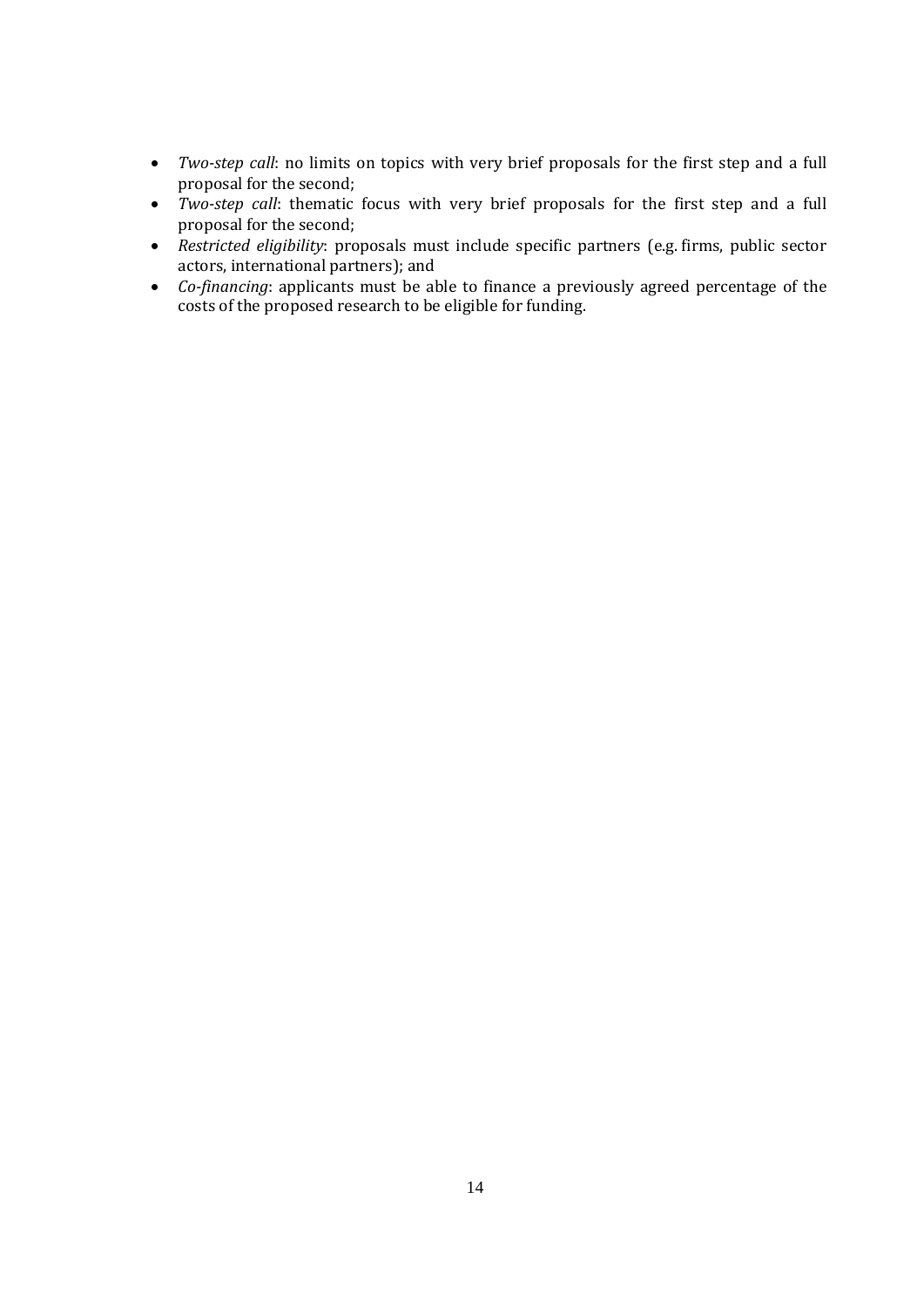- *Two-step call*: no limits on topics with very brief proposals for the first step and a full proposal for the second;
- *Two-step call*: thematic focus with very brief proposals for the first step and a full proposal for the second;
- *Restricted eligibility*: proposals must include specific partners (e.g. firms, public sector actors, international partners); and
- *Co-financing*: applicants must be able to finance a previously agreed percentage of the costs of the proposed research to be eligible for funding.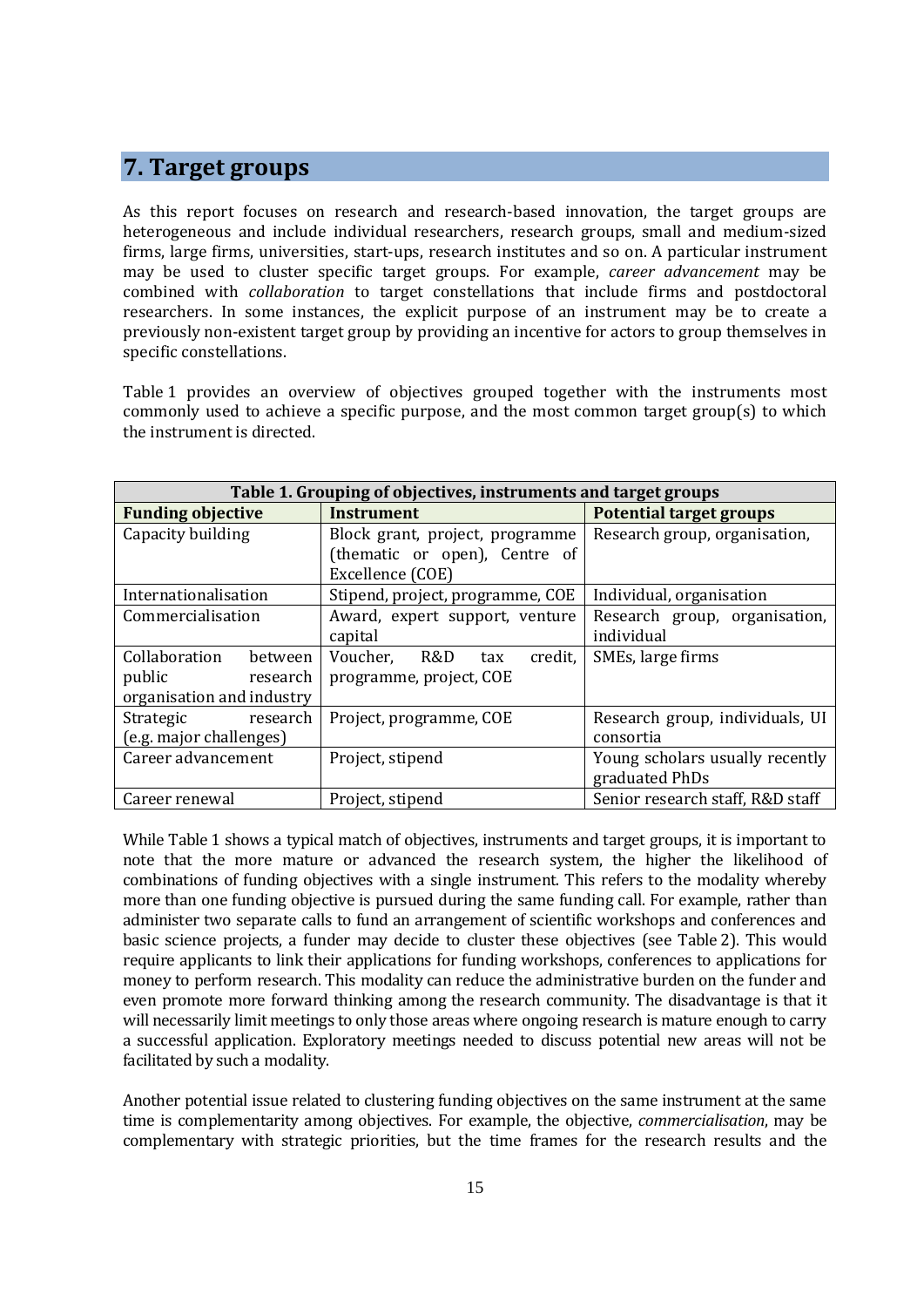#### **7. Target groups**

As this report focuses on research and research-based innovation, the target groups are heterogeneous and include individual researchers, research groups, small and medium-sized firms, large firms, universities, start-ups, research institutes and so on. A particular instrument may be used to cluster specific target groups. For example, *career advancement* may be combined with *collaboration* to target constellations that include firms and postdoctoral researchers. In some instances, the explicit purpose of an instrument may be to create a previously non-existent target group by providing an incentive for actors to group themselves in specific constellations.

Table 1 provides an overview of objectives grouped together with the instruments most commonly used to achieve a specific purpose, and the most common target group(s) to which the instrument is directed.

| Table 1. Grouping of objectives, instruments and target groups |                                  |                                  |  |
|----------------------------------------------------------------|----------------------------------|----------------------------------|--|
| <b>Funding objective</b>                                       | Instrument                       | <b>Potential target groups</b>   |  |
| Capacity building                                              | Block grant, project, programme  | Research group, organisation,    |  |
|                                                                | (thematic or open), Centre of    |                                  |  |
|                                                                | Excellence (COE)                 |                                  |  |
| Internationalisation                                           | Stipend, project, programme, COE | Individual, organisation         |  |
| Commercialisation                                              | Award, expert support, venture   | Research group, organisation,    |  |
|                                                                | capital                          | individual                       |  |
| Collaboration<br>between                                       | Voucher, R&D<br>credit,<br>tax   | SMEs, large firms                |  |
| public<br>research                                             | programme, project, COE          |                                  |  |
| organisation and industry                                      |                                  |                                  |  |
| Strategic<br>research                                          | Project, programme, COE          | Research group, individuals, UI  |  |
| (e.g. major challenges)                                        |                                  | consortia                        |  |
| Career advancement                                             | Project, stipend                 | Young scholars usually recently  |  |
|                                                                |                                  | graduated PhDs                   |  |
| Career renewal                                                 | Project, stipend                 | Senior research staff, R&D staff |  |

While Table 1 shows a typical match of objectives, instruments and target groups, it is important to note that the more mature or advanced the research system, the higher the likelihood of combinations of funding objectives with a single instrument. This refers to the modality whereby more than one funding objective is pursued during the same funding call. For example, rather than administer two separate calls to fund an arrangement of scientific workshops and conferences and basic science projects, a funder may decide to cluster these objectives (see Table 2). This would require applicants to link their applications for funding workshops, conferences to applications for money to perform research. This modality can reduce the administrative burden on the funder and even promote more forward thinking among the research community. The disadvantage is that it will necessarily limit meetings to only those areas where ongoing research is mature enough to carry a successful application. Exploratory meetings needed to discuss potential new areas will not be facilitated by such a modality.

Another potential issue related to clustering funding objectives on the same instrument at the same time is complementarity among objectives. For example, the objective, *commercialisation*, may be complementary with strategic priorities, but the time frames for the research results and the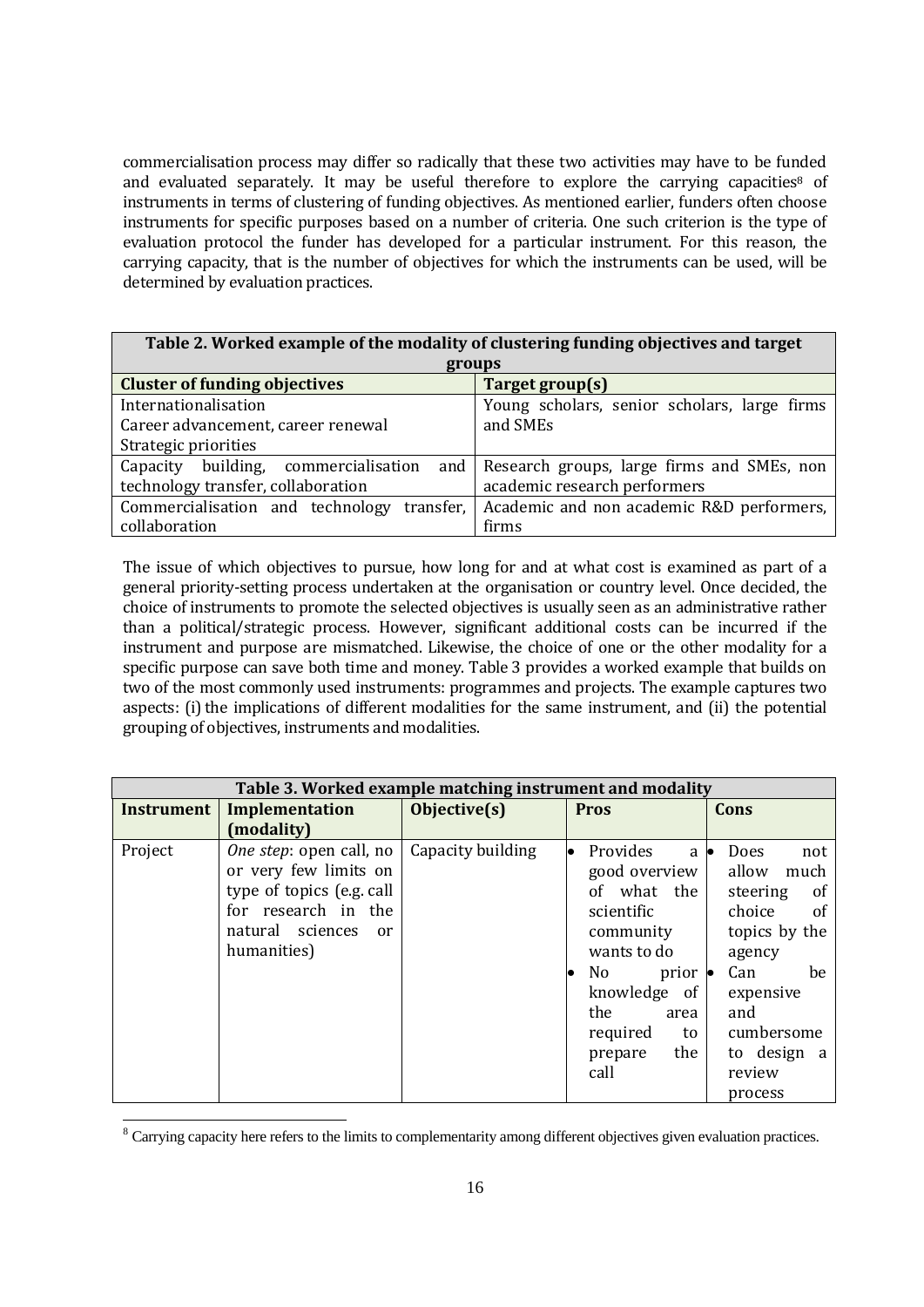commercialisation process may differ so radically that these two activities may have to be funded and evaluated separately. It may be useful therefore to explore the carrying capacities<sup>8</sup> of instruments in terms of clustering of funding objectives. As mentioned earlier, funders often choose instruments for specific purposes based on a number of criteria. One such criterion is the type of evaluation protocol the funder has developed for a particular instrument. For this reason, the carrying capacity, that is the number of objectives for which the instruments can be used, will be determined by evaluation practices.

| Table 2. Worked example of the modality of clustering funding objectives and target |                                                |  |  |
|-------------------------------------------------------------------------------------|------------------------------------------------|--|--|
| groups                                                                              |                                                |  |  |
| <b>Cluster of funding objectives</b>                                                | Target group(s)                                |  |  |
| Internationalisation                                                                | Young scholars, senior scholars, large firms   |  |  |
| Career advancement, career renewal                                                  | and SMEs                                       |  |  |
| Strategic priorities                                                                |                                                |  |  |
| Capacity building, commercialisation                                                | and Research groups, large firms and SMEs, non |  |  |
| technology transfer, collaboration                                                  | academic research performers                   |  |  |
| Commercialisation and technology<br>transfer.                                       | Academic and non academic R&D performers,      |  |  |
| collaboration                                                                       | firms                                          |  |  |

The issue of which objectives to pursue, how long for and at what cost is examined as part of a general priority-setting process undertaken at the organisation or country level. Once decided, the choice of instruments to promote the selected objectives is usually seen as an administrative rather than a political/strategic process. However, significant additional costs can be incurred if the instrument and purpose are mismatched. Likewise, the choice of one or the other modality for a specific purpose can save both time and money. Table 3 provides a worked example that builds on two of the most commonly used instruments: programmes and projects. The example captures two aspects: (i) the implications of different modalities for the same instrument, and (ii) the potential grouping of objectives, instruments and modalities.

| Table 3. Worked example matching instrument and modality |                                                                                                                                                                  |                   |                                                                                                                                                                                                                         |                                                                                                                                                                                                    |  |  |
|----------------------------------------------------------|------------------------------------------------------------------------------------------------------------------------------------------------------------------|-------------------|-------------------------------------------------------------------------------------------------------------------------------------------------------------------------------------------------------------------------|----------------------------------------------------------------------------------------------------------------------------------------------------------------------------------------------------|--|--|
| <b>Instrument</b>                                        | Implementation                                                                                                                                                   | Objective(s)      | <b>Pros</b>                                                                                                                                                                                                             | Cons                                                                                                                                                                                               |  |  |
|                                                          | (modality)                                                                                                                                                       |                   |                                                                                                                                                                                                                         |                                                                                                                                                                                                    |  |  |
| Project                                                  | <i>One step</i> : open call, no<br>or very few limits on<br>type of topics (e.g. call<br>for research in the<br>natural sciences<br><sub>or</sub><br>humanities) | Capacity building | Provides<br>a<br>good overview<br>of what the<br>scientific<br>community<br>wants to do<br>N <sub>0</sub><br>$prior \bullet$<br>of <sub>1</sub><br>knowledge<br>the<br>area<br>required<br>to<br>the<br>prepare<br>call | Does<br>not<br>allow<br>much<br>steering<br><sub>of</sub><br>choice<br><sub>of</sub><br>topics by the<br>agency<br>Can<br>be<br>expensive<br>and<br>cumbersome<br>to design a<br>review<br>process |  |  |

<sup>&</sup>lt;sup>8</sup> Carrying capacity here refers to the limits to complementarity among different objectives given evaluation practices.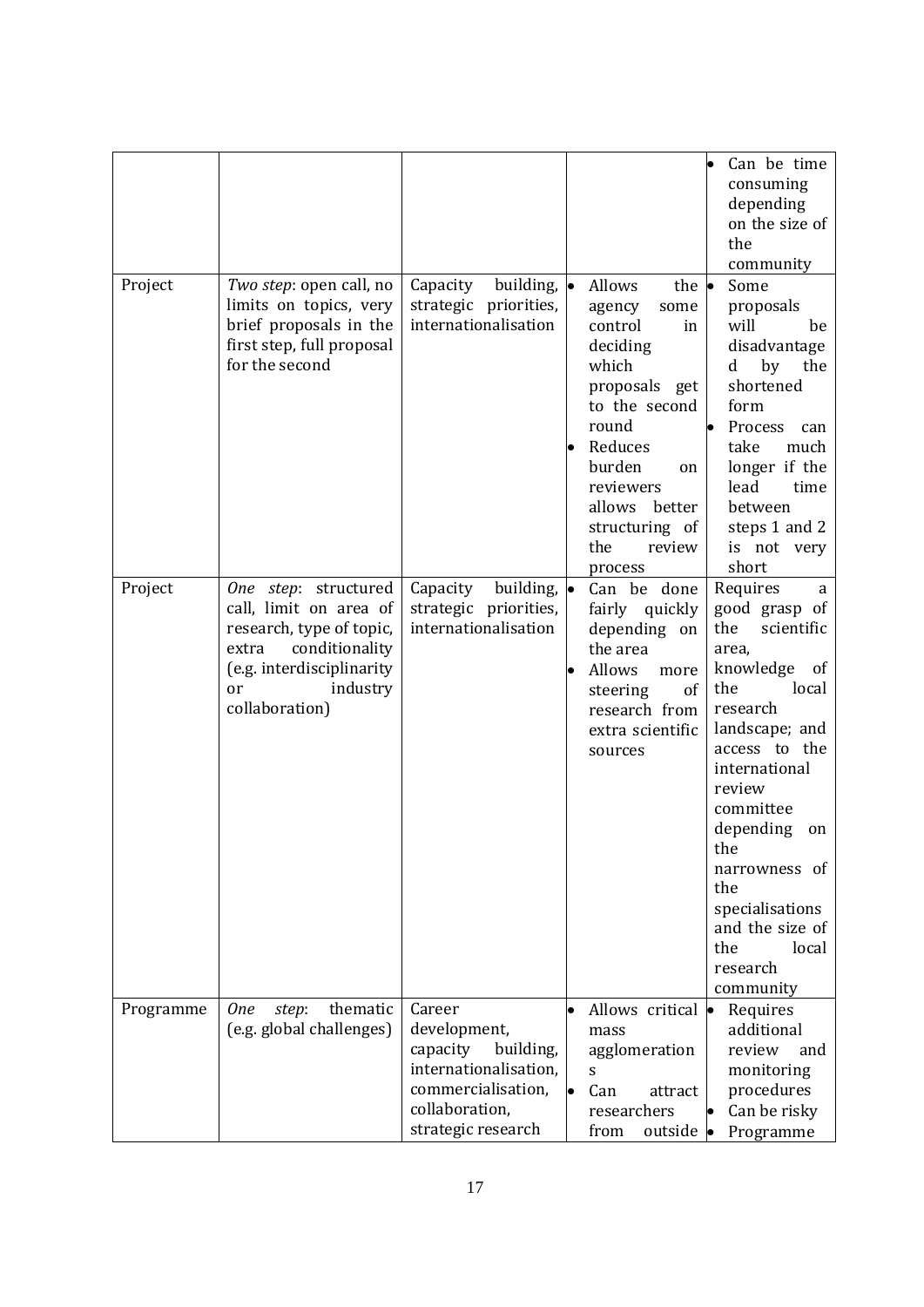|           |                                                                                                                                                                        |                                                                                                                                        |                                                                                                                                                                                                                                      | Can be time<br>consuming<br>depending<br>on the size of<br>the<br>community                                                                                                                                                                                                                                             |
|-----------|------------------------------------------------------------------------------------------------------------------------------------------------------------------------|----------------------------------------------------------------------------------------------------------------------------------------|--------------------------------------------------------------------------------------------------------------------------------------------------------------------------------------------------------------------------------------|-------------------------------------------------------------------------------------------------------------------------------------------------------------------------------------------------------------------------------------------------------------------------------------------------------------------------|
| Project   | Two step: open call, no<br>limits on topics, very<br>brief proposals in the<br>first step, full proposal<br>for the second                                             | building, $\bullet$<br>Capacity<br>strategic priorities,<br>internationalisation                                                       | Allows<br>the $\bullet$<br>agency<br>some<br>control<br>in<br>deciding<br>which<br>proposals get<br>to the second<br>round<br>Reduces<br>burden<br>on<br>reviewers<br>allows<br>better<br>structuring of<br>the<br>review<br>process | Some<br>proposals<br>will<br>be<br>disadvantage<br>by<br>the<br>d<br>shortened<br>form<br>Process<br>can<br>take<br>much<br>longer if the<br>lead<br>time<br>between<br>steps 1 and 2<br>is not very<br>short                                                                                                           |
| Project   | One step: structured<br>call, limit on area of<br>research, type of topic,<br>conditionality<br>extra<br>(e.g. interdisciplinarity<br>industry<br>or<br>collaboration) | Capacity<br>building, $\bullet$<br>strategic priorities,<br>internationalisation                                                       | Can be done<br>fairly quickly<br>depending on<br>the area<br>Allows<br>more<br>steering<br>of<br>research from<br>extra scientific<br>sources                                                                                        | Requires<br>a<br>good grasp of<br>the<br>scientific<br>area,<br>knowledge<br>of<br>local<br>the<br>research<br>landscape; and<br>access to the<br>international<br>review<br>committee<br>depending<br>on<br>the<br>narrowness of<br>the<br>specialisations<br>and the size of<br>the<br>local<br>research<br>community |
| Programme | thematic<br><b>One</b><br>step:<br>(e.g. global challenges)                                                                                                            | Career<br>development,<br>capacity<br>building,<br>internationalisation,<br>commercialisation,<br>collaboration,<br>strategic research | Allows critical $\bullet$<br>mass<br>agglomeration<br>S<br>Can<br>attract<br>researchers<br>from<br>outside •                                                                                                                        | Requires<br>additional<br>review<br>and<br>monitoring<br>procedures<br>Can be risky<br>Programme                                                                                                                                                                                                                        |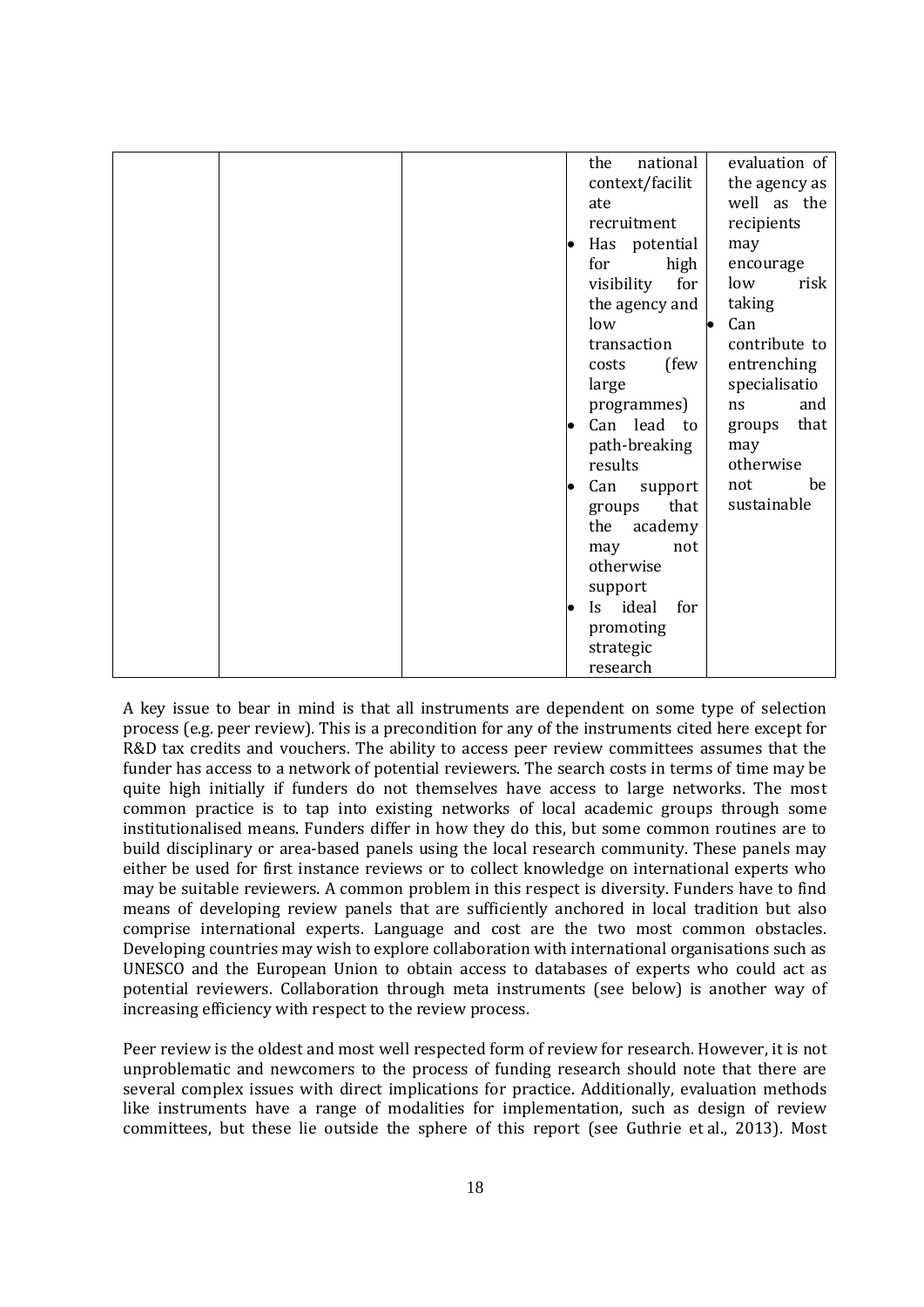|  |  | national<br>the         |    | evaluation of      |      |
|--|--|-------------------------|----|--------------------|------|
|  |  | context/facilit         |    | the agency as      |      |
|  |  | ate                     |    | well as the        |      |
|  |  | recruitment             |    | recipients         |      |
|  |  | Has potential           |    | may                |      |
|  |  | for<br>high             |    | encourage          |      |
|  |  | for<br>visibility       |    | low                | risk |
|  |  | the agency and          |    | taking             |      |
|  |  | low                     | lo | Can                |      |
|  |  | transaction             |    | contribute to      |      |
|  |  | (few<br>costs           |    | entrenching        |      |
|  |  | large                   |    | specialisatio      |      |
|  |  | programmes)             | ns |                    | and  |
|  |  | Can lead to             |    | groups             | that |
|  |  | path-breaking           |    | may                |      |
|  |  | results                 |    | otherwise          | be   |
|  |  | Can<br>support          |    | not<br>sustainable |      |
|  |  | that<br>groups          |    |                    |      |
|  |  | the<br>academy          |    |                    |      |
|  |  | not<br>may<br>otherwise |    |                    |      |
|  |  | support                 |    |                    |      |
|  |  | Is ideal<br>for         |    |                    |      |
|  |  | promoting               |    |                    |      |
|  |  | strategic               |    |                    |      |
|  |  | research                |    |                    |      |
|  |  |                         |    |                    |      |

A key issue to bear in mind is that all instruments are dependent on some type of selection process (e.g. peer review). This is a precondition for any of the instruments cited here except for R&D tax credits and vouchers. The ability to access peer review committees assumes that the funder has access to a network of potential reviewers. The search costs in terms of time may be quite high initially if funders do not themselves have access to large networks. The most common practice is to tap into existing networks of local academic groups through some institutionalised means. Funders differ in how they do this, but some common routines are to build disciplinary or area-based panels using the local research community. These panels may either be used for first instance reviews or to collect knowledge on international experts who may be suitable reviewers. A common problem in this respect is diversity. Funders have to find means of developing review panels that are sufficiently anchored in local tradition but also comprise international experts. Language and cost are the two most common obstacles. Developing countries may wish to explore collaboration with international organisations such as UNESCO and the European Union to obtain access to databases of experts who could act as potential reviewers. Collaboration through meta instruments (see below) is another way of increasing efficiency with respect to the review process.

Peer review is the oldest and most well respected form of review for research. However, it is not unproblematic and newcomers to the process of funding research should note that there are several complex issues with direct implications for practice. Additionally, evaluation methods like instruments have a range of modalities for implementation, such as design of review committees, but these lie outside the sphere of this report (see Guthrie et al., 2013). Most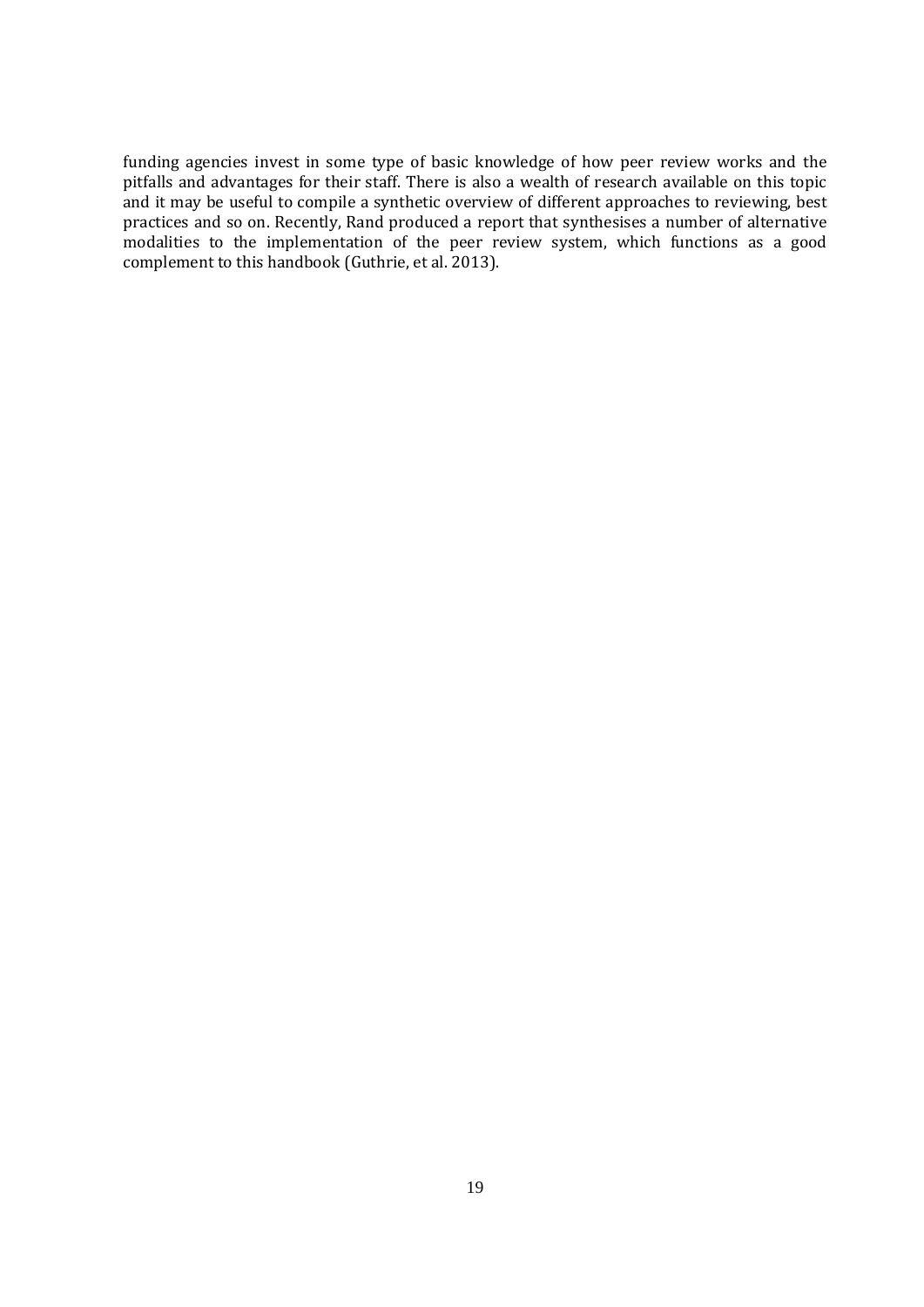funding agencies invest in some type of basic knowledge of how peer review works and the pitfalls and advantages for their staff. There is also a wealth of research available on this topic and it may be useful to compile a synthetic overview of different approaches to reviewing, best practices and so on. Recently, Rand produced a report that synthesises a number of alternative modalities to the implementation of the peer review system, which functions as a good complement to this handbook (Guthrie, et al. 2013).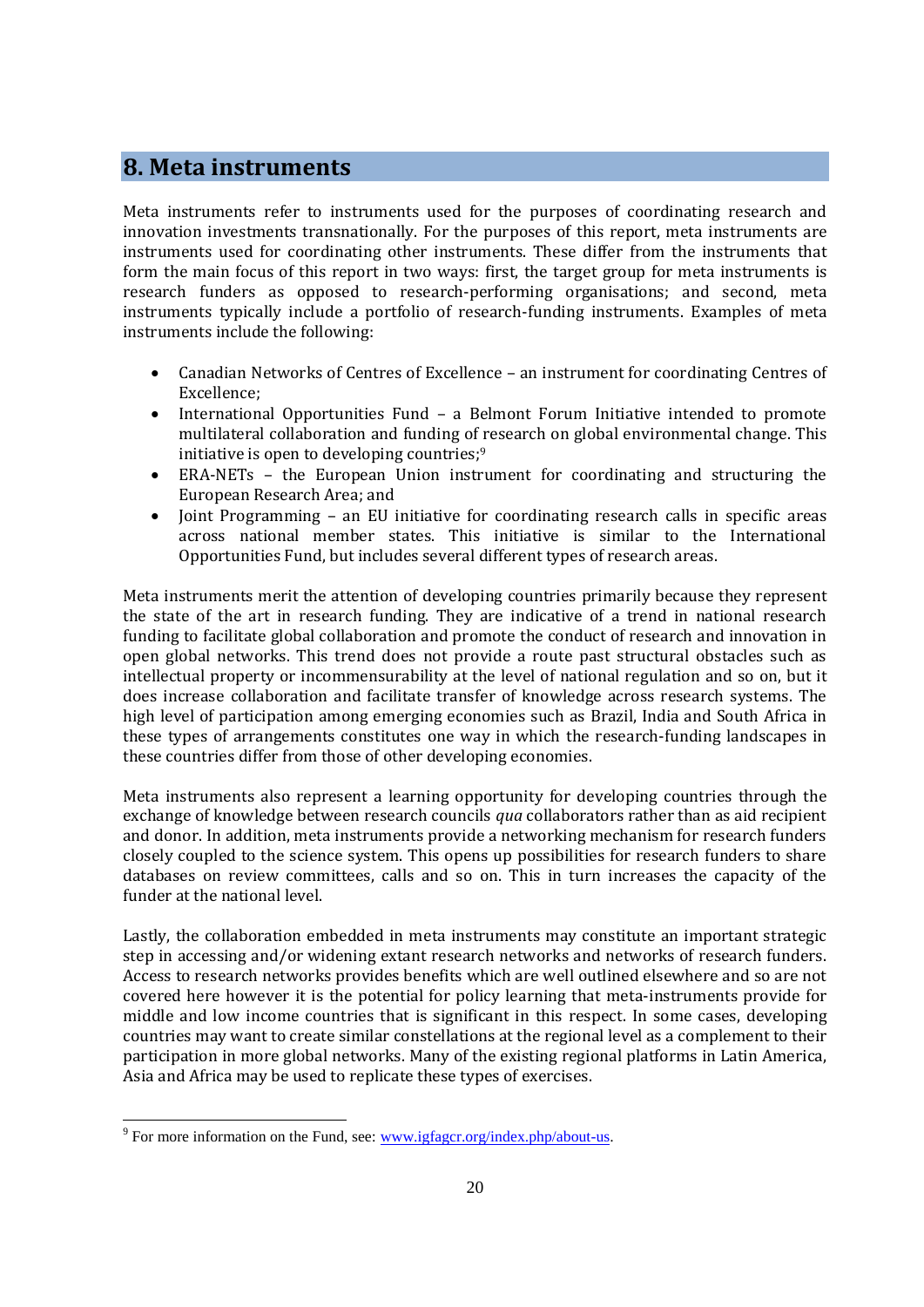### **8. Meta instruments**

Meta instruments refer to instruments used for the purposes of coordinating research and innovation investments transnationally. For the purposes of this report, meta instruments are instruments used for coordinating other instruments. These differ from the instruments that form the main focus of this report in two ways: first, the target group for meta instruments is research funders as opposed to research-performing organisations; and second, meta instruments typically include a portfolio of research-funding instruments. Examples of meta instruments include the following:

- Canadian Networks of Centres of Excellence an instrument for coordinating Centres of Excellence;
- International Opportunities Fund a Belmont Forum Initiative intended to promote multilateral collaboration and funding of research on global environmental change. This initiative is open to developing countries; 9
- ERA-NETs the European Union instrument for coordinating and structuring the European Research Area; and
- Joint Programming an EU initiative for coordinating research calls in specific areas across national member states. This initiative is similar to the International Opportunities Fund, but includes several different types of research areas.

Meta instruments merit the attention of developing countries primarily because they represent the state of the art in research funding. They are indicative of a trend in national research funding to facilitate global collaboration and promote the conduct of research and innovation in open global networks. This trend does not provide a route past structural obstacles such as intellectual property or incommensurability at the level of national regulation and so on, but it does increase collaboration and facilitate transfer of knowledge across research systems. The high level of participation among emerging economies such as Brazil, India and South Africa in these types of arrangements constitutes one way in which the research-funding landscapes in these countries differ from those of other developing economies.

Meta instruments also represent a learning opportunity for developing countries through the exchange of knowledge between research councils *qua* collaborators rather than as aid recipient and donor. In addition, meta instruments provide a networking mechanism for research funders closely coupled to the science system. This opens up possibilities for research funders to share databases on review committees, calls and so on. This in turn increases the capacity of the funder at the national level.

Lastly, the collaboration embedded in meta instruments may constitute an important strategic step in accessing and/or widening extant research networks and networks of research funders. Access to research networks provides benefits which are well outlined elsewhere and so are not covered here however it is the potential for policy learning that meta-instruments provide for middle and low income countries that is significant in this respect. In some cases, developing countries may want to create similar constellations at the regional level as a complement to their participation in more global networks. Many of the existing regional platforms in Latin America, Asia and Africa may be used to replicate these types of exercises.

<sup>&</sup>lt;sup>9</sup> For more information on the Fund, see:  $\frac{www.igfager.org/index.php/about-us.}$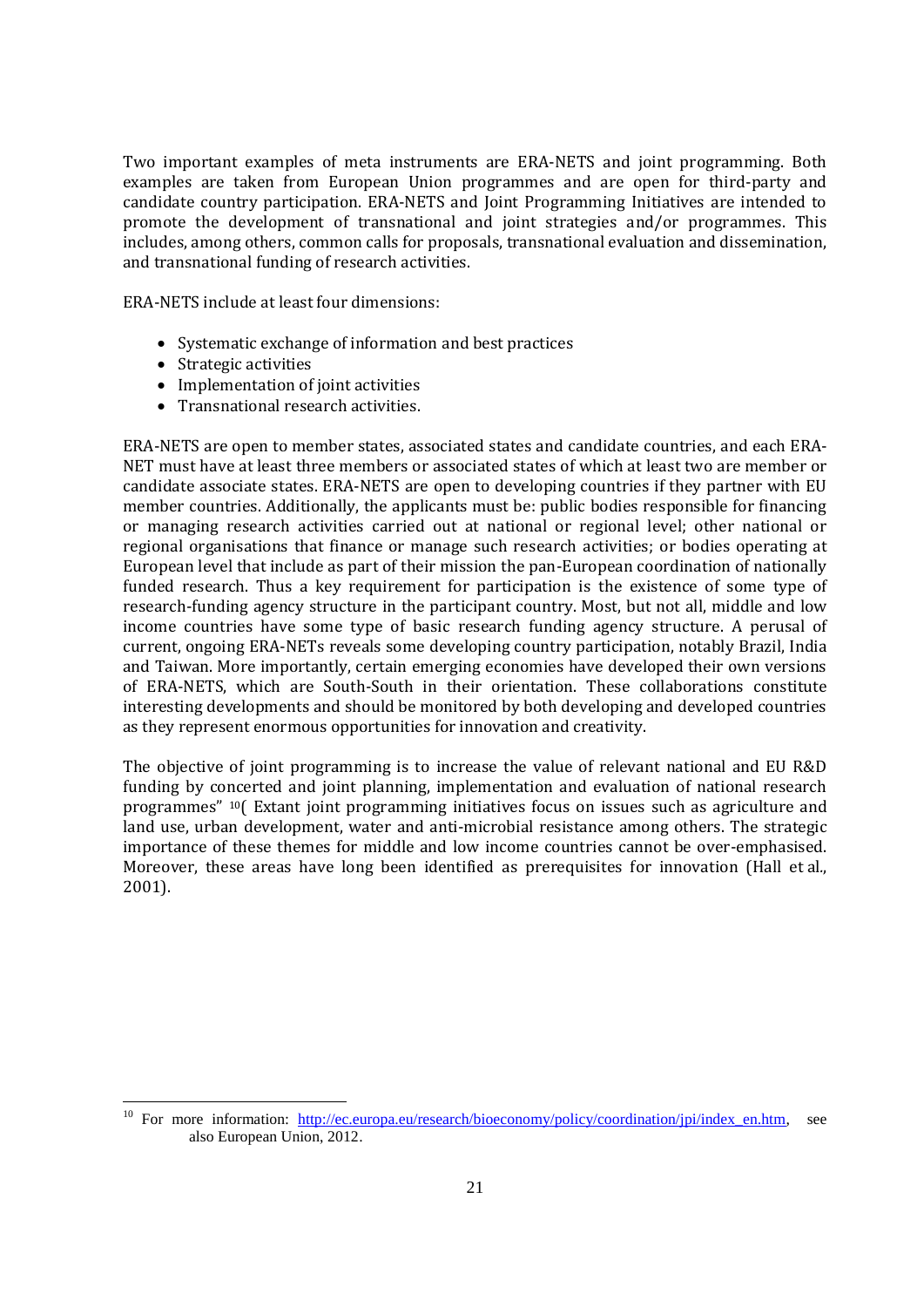Two important examples of meta instruments are ERA-NETS and joint programming. Both examples are taken from European Union programmes and are open for third-party and candidate country participation. ERA-NETS and Joint Programming Initiatives are intended to promote the development of transnational and joint strategies and/or programmes. This includes, among others, common calls for proposals, transnational evaluation and dissemination, and transnational funding of research activities.

ERA-NETS include at least four dimensions:

- Systematic exchange of information and best practices
- Strategic activities

l

- Implementation of joint activities
- Transnational research activities.

ERA-NETS are open to member states, associated states and candidate countries, and each ERA-NET must have at least three members or associated states of which at least two are member or candidate associate states. ERA-NETS are open to developing countries if they partner with EU member countries. Additionally, the applicants must be: public bodies responsible for financing or managing research activities carried out at national or regional level; other national or regional organisations that finance or manage such research activities; or bodies operating at European level that include as part of their mission the pan-European coordination of nationally funded research. Thus a key requirement for participation is the existence of some type of research-funding agency structure in the participant country. Most, but not all, middle and low income countries have some type of basic research funding agency structure. A perusal of current, ongoing ERA-NETs reveals some developing country participation, notably Brazil, India and Taiwan. More importantly, certain emerging economies have developed their own versions of ERA-NETS, which are South-South in their orientation. These collaborations constitute interesting developments and should be monitored by both developing and developed countries as they represent enormous opportunities for innovation and creativity.

The objective of joint programming is to increase the value of relevant national and EU R&D funding by concerted and joint planning, implementation and evaluation of national research programmes" <sup>10</sup>( Extant joint programming initiatives focus on issues such as agriculture and land use, urban development, water and anti-microbial resistance among others. The strategic importance of these themes for middle and low income countries cannot be over-emphasised. Moreover, these areas have long been identified as prerequisites for innovation (Hall et al*.*, 2001).

<sup>&</sup>lt;sup>10</sup> For more information: [http://ec.europa.eu/research/bioeconomy/policy/coordination/jpi/index\\_en.htm,](http://ec.europa.eu/research/bioeconomy/policy/coordination/jpi/index_en.htm) see also European Union, 2012.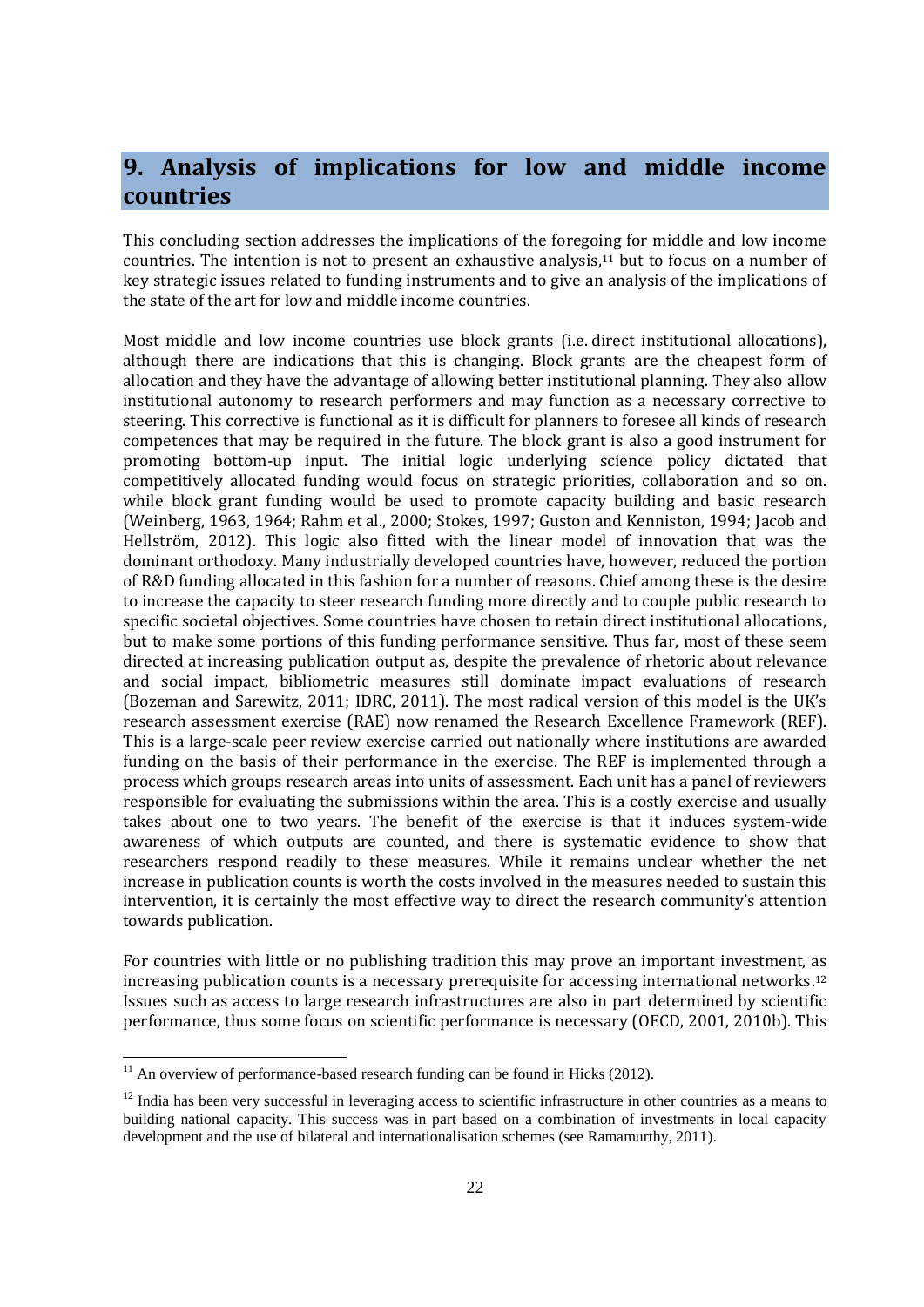## **9. Analysis of implications for low and middle income countries**

This concluding section addresses the implications of the foregoing for middle and low income countries. The intention is not to present an exhaustive analysis, <sup>11</sup> but to focus on a number of key strategic issues related to funding instruments and to give an analysis of the implications of the state of the art for low and middle income countries.

Most middle and low income countries use block grants (i.e. direct institutional allocations), although there are indications that this is changing. Block grants are the cheapest form of allocation and they have the advantage of allowing better institutional planning. They also allow institutional autonomy to research performers and may function as a necessary corrective to steering. This corrective is functional as it is difficult for planners to foresee all kinds of research competences that may be required in the future. The block grant is also a good instrument for promoting bottom-up input. The initial logic underlying science policy dictated that competitively allocated funding would focus on strategic priorities, collaboration and so on. while block grant funding would be used to promote capacity building and basic research (Weinberg, 1963, 1964; Rahm et al., 2000; Stokes, 1997; Guston and Kenniston, 1994; Jacob and Hellström, 2012). This logic also fitted with the linear model of innovation that was the dominant orthodoxy. Many industrially developed countries have, however, reduced the portion of R&D funding allocated in this fashion for a number of reasons. Chief among these is the desire to increase the capacity to steer research funding more directly and to couple public research to specific societal objectives. Some countries have chosen to retain direct institutional allocations, but to make some portions of this funding performance sensitive. Thus far, most of these seem directed at increasing publication output as, despite the prevalence of rhetoric about relevance and social impact, bibliometric measures still dominate impact evaluations of research (Bozeman and Sarewitz, 2011; IDRC, 2011). The most radical version of this model is the UK's research assessment exercise (RAE) now renamed the Research Excellence Framework (REF). This is a large-scale peer review exercise carried out nationally where institutions are awarded funding on the basis of their performance in the exercise. The REF is implemented through a process which groups research areas into units of assessment. Each unit has a panel of reviewers responsible for evaluating the submissions within the area. This is a costly exercise and usually takes about one to two years. The benefit of the exercise is that it induces system-wide awareness of which outputs are counted, and there is systematic evidence to show that researchers respond readily to these measures. While it remains unclear whether the net increase in publication counts is worth the costs involved in the measures needed to sustain this intervention, it is certainly the most effective way to direct the research community's attention towards publication.

For countries with little or no publishing tradition this may prove an important investment, as increasing publication counts is a necessary prerequisite for accessing international networks. 12 Issues such as access to large research infrastructures are also in part determined by scientific performance, thus some focus on scientific performance is necessary (OECD, 2001, 2010b). This

 $\overline{a}$ 

 $11$  An overview of performance-based research funding can be found in Hicks (2012).

 $12$  India has been very successful in leveraging access to scientific infrastructure in other countries as a means to building national capacity. This success was in part based on a combination of investments in local capacity development and the use of bilateral and internationalisation schemes (see Ramamurthy, 2011).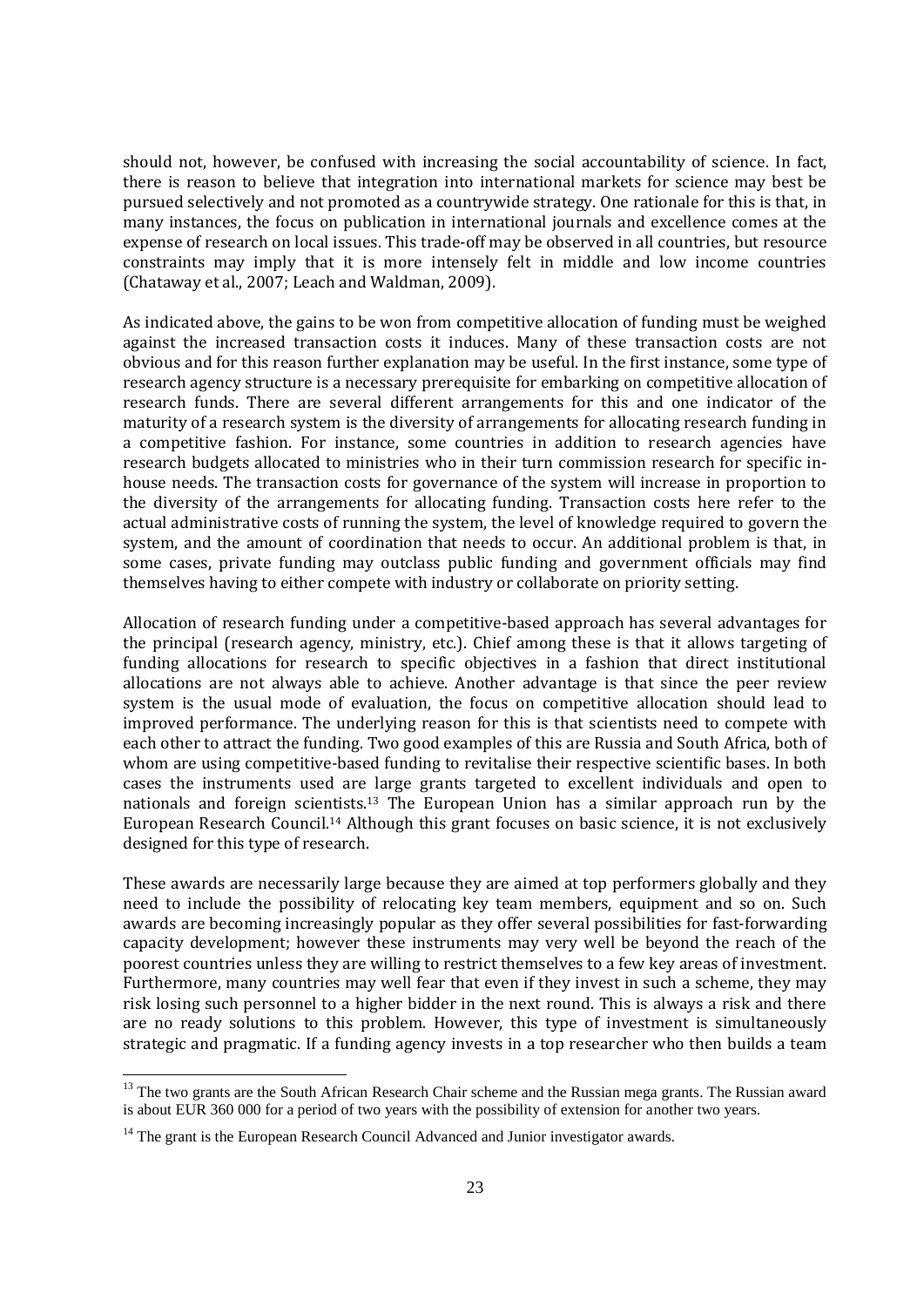should not, however, be confused with increasing the social accountability of science. In fact, there is reason to believe that integration into international markets for science may best be pursued selectively and not promoted as a countrywide strategy. One rationale for this is that, in many instances, the focus on publication in international journals and excellence comes at the expense of research on local issues. This trade-off may be observed in all countries, but resource constraints may imply that it is more intensely felt in middle and low income countries (Chataway et al., 2007; Leach and Waldman, 2009).

As indicated above, the gains to be won from competitive allocation of funding must be weighed against the increased transaction costs it induces. Many of these transaction costs are not obvious and for this reason further explanation may be useful. In the first instance, some type of research agency structure is a necessary prerequisite for embarking on competitive allocation of research funds. There are several different arrangements for this and one indicator of the maturity of a research system is the diversity of arrangements for allocating research funding in a competitive fashion. For instance, some countries in addition to research agencies have research budgets allocated to ministries who in their turn commission research for specific inhouse needs. The transaction costs for governance of the system will increase in proportion to the diversity of the arrangements for allocating funding. Transaction costs here refer to the actual administrative costs of running the system, the level of knowledge required to govern the system, and the amount of coordination that needs to occur. An additional problem is that, in some cases, private funding may outclass public funding and government officials may find themselves having to either compete with industry or collaborate on priority setting.

Allocation of research funding under a competitive-based approach has several advantages for the principal (research agency, ministry, etc.). Chief among these is that it allows targeting of funding allocations for research to specific objectives in a fashion that direct institutional allocations are not always able to achieve. Another advantage is that since the peer review system is the usual mode of evaluation, the focus on competitive allocation should lead to improved performance. The underlying reason for this is that scientists need to compete with each other to attract the funding. Two good examples of this are Russia and South Africa, both of whom are using competitive-based funding to revitalise their respective scientific bases. In both cases the instruments used are large grants targeted to excellent individuals and open to nationals and foreign scientists.<sup>13</sup> The European Union has a similar approach run by the European Research Council. <sup>14</sup> Although this grant focuses on basic science, it is not exclusively designed for this type of research.

These awards are necessarily large because they are aimed at top performers globally and they need to include the possibility of relocating key team members, equipment and so on. Such awards are becoming increasingly popular as they offer several possibilities for fast-forwarding capacity development; however these instruments may very well be beyond the reach of the poorest countries unless they are willing to restrict themselves to a few key areas of investment. Furthermore, many countries may well fear that even if they invest in such a scheme, they may risk losing such personnel to a higher bidder in the next round. This is always a risk and there are no ready solutions to this problem. However, this type of investment is simultaneously strategic and pragmatic. If a funding agency invests in a top researcher who then builds a team

<sup>&</sup>lt;sup>13</sup> The two grants are the South African Research Chair scheme and the Russian mega grants. The Russian award is about EUR 360 000 for a period of two years with the possibility of extension for another two years.

 $14$  The grant is the European Research Council Advanced and Junior investigator awards.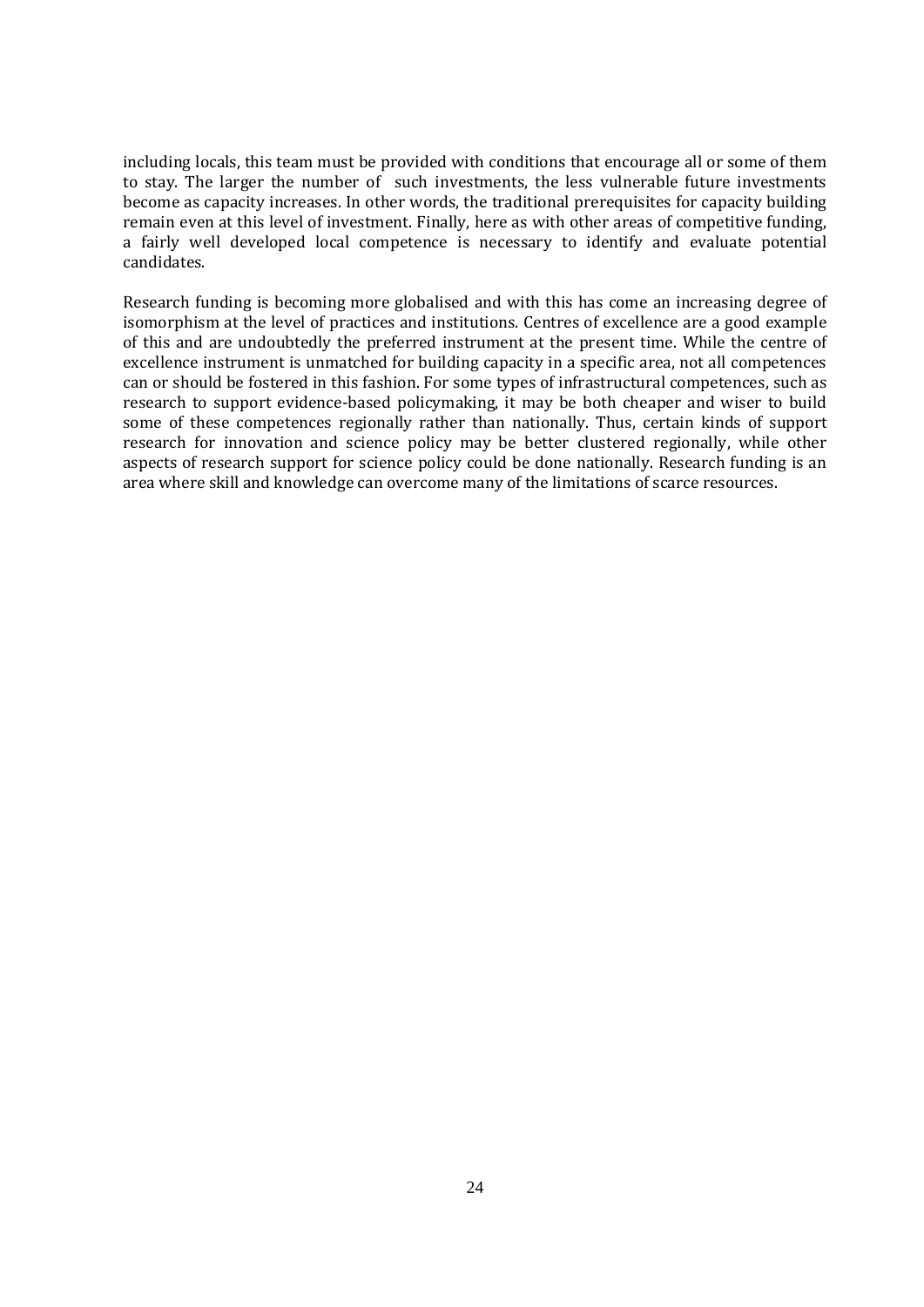including locals, this team must be provided with conditions that encourage all or some of them to stay. The larger the number of such investments, the less vulnerable future investments become as capacity increases. In other words, the traditional prerequisites for capacity building remain even at this level of investment. Finally, here as with other areas of competitive funding, a fairly well developed local competence is necessary to identify and evaluate potential candidates.

Research funding is becoming more globalised and with this has come an increasing degree of isomorphism at the level of practices and institutions. Centres of excellence are a good example of this and are undoubtedly the preferred instrument at the present time. While the centre of excellence instrument is unmatched for building capacity in a specific area, not all competences can or should be fostered in this fashion. For some types of infrastructural competences, such as research to support evidence-based policymaking, it may be both cheaper and wiser to build some of these competences regionally rather than nationally. Thus, certain kinds of support research for innovation and science policy may be better clustered regionally, while other aspects of research support for science policy could be done nationally. Research funding is an area where skill and knowledge can overcome many of the limitations of scarce resources.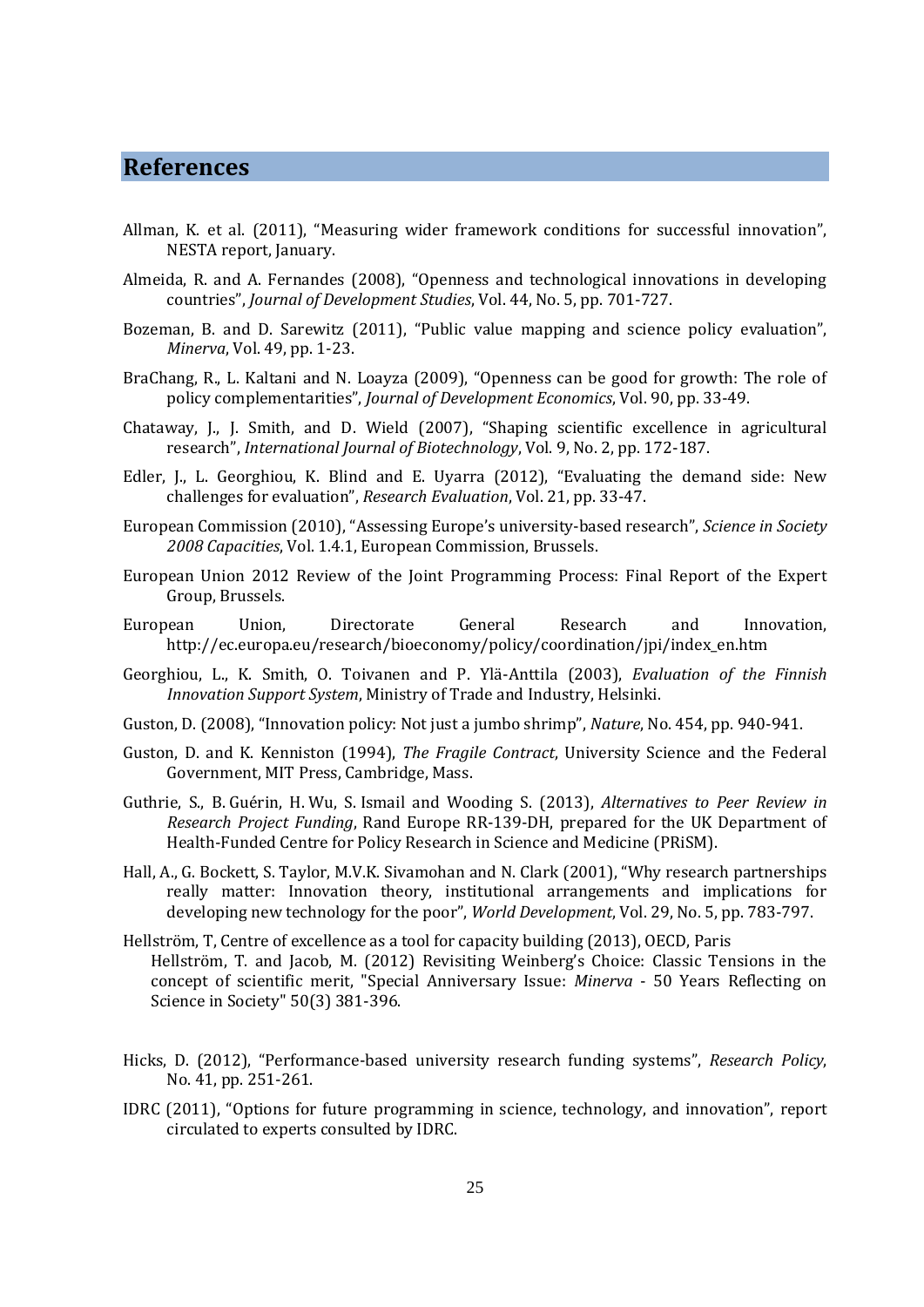### **References**

- Allman, K. et al. (2011), "Measuring wider framework conditions for successful innovation", NESTA report, January.
- Almeida, R. and A. Fernandes (2008), "Openness and technological innovations in developing countries", *Journal of Development Studies*, Vol. 44, No. 5, pp. 701-727.
- Bozeman, B. and D. Sarewitz (2011), "Public value mapping and science policy evaluation", *Minerva*, Vol. 49, pp. 1-23.
- BraChang, R., L. Kaltani and N. Loayza (2009), "Openness can be good for growth: The role of policy complementarities", *Journal of Development Economics*, Vol. 90, pp. 33-49.
- Chataway, J., J. Smith, and D. Wield (2007), "Shaping scientific excellence in agricultural research", *International Journal of Biotechnology*, Vol. 9, No. 2, pp. 172-187.
- Edler, J., L. Georghiou, K. Blind and E. Uyarra (2012), "Evaluating the demand side: New challenges for evaluation", *Research Evaluation*, Vol. 21, pp. 33-47.
- European Commission (2010), "Assessing Europe's university-based research", *Science in Society 2008 Capacities*, Vol. 1.4.1, European Commission, Brussels.
- European Union 2012 Review of the Joint Programming Process: Final Report of the Expert Group, Brussels.
- European Union, Directorate General Research and Innovation, http://ec.europa.eu/research/bioeconomy/policy/coordination/jpi/index\_en.htm
- Georghiou, L., K. Smith, O. Toivanen and P. Ylä-Anttila (2003), *Evaluation of the Finnish Innovation Support System*, Ministry of Trade and Industry, Helsinki.
- Guston, D. (2008), "Innovation policy: Not just a jumbo shrimp", *Nature*, No. 454, pp. 940-941.
- Guston, D. and K. Kenniston (1994), *The Fragile Contract*, University Science and the Federal Government, MIT Press, Cambridge, Mass.
- Guthrie, S., B. Guérin, H. Wu, S. Ismail and Wooding S. (2013), *Alternatives to Peer Review in Research Project Funding*, Rand Europe RR-139-DH, prepared for the UK Department of Health-Funded Centre for Policy Research in Science and Medicine (PRiSM).
- Hall, A., G. Bockett, S. Taylor, M.V.K. Sivamohan and N. Clark (2001), "Why research partnerships really matter: Innovation theory, institutional arrangements and implications for developing new technology for the poor", *World Development*, Vol. 29, No. 5, pp. 783-797.
- Hellström, T, Centre of excellence as a tool for capacity building (2013), OECD, Paris Hellström, T. and Jacob, M. (2012) Revisiting Weinberg's Choice: Classic Tensions in the concept of scientific merit, "Special Anniversary Issue: *Minerva* - 50 Years Reflecting on Science in Society" 50(3) 381-396.
- Hicks, D. (2012), "Performance-based university research funding systems", *Research Policy*, No. 41, pp. 251-261.
- IDRC (2011), "Options for future programming in science, technology, and innovation", report circulated to experts consulted by IDRC.